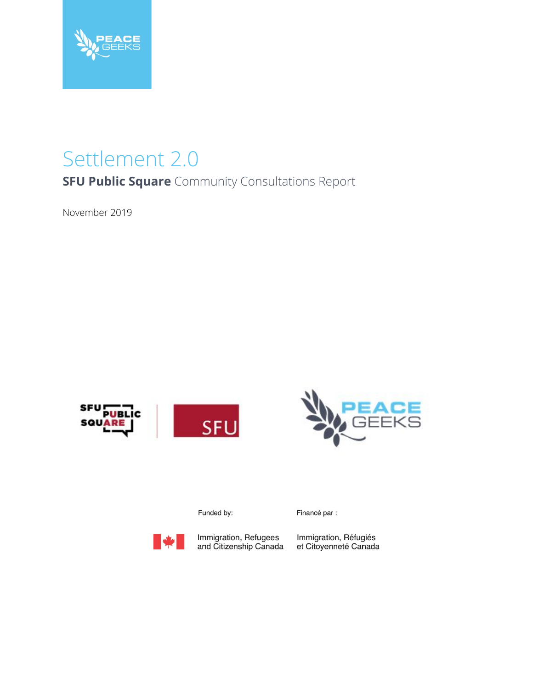

# Settlement 2.0

**SFU Public Square** Community Consultations Report

November 2019





Funded by:



Immigration, Refugees<br>and Citizenship Canada

Financé par :

Immigration, Réfugiés<br>et Citoyenneté Canada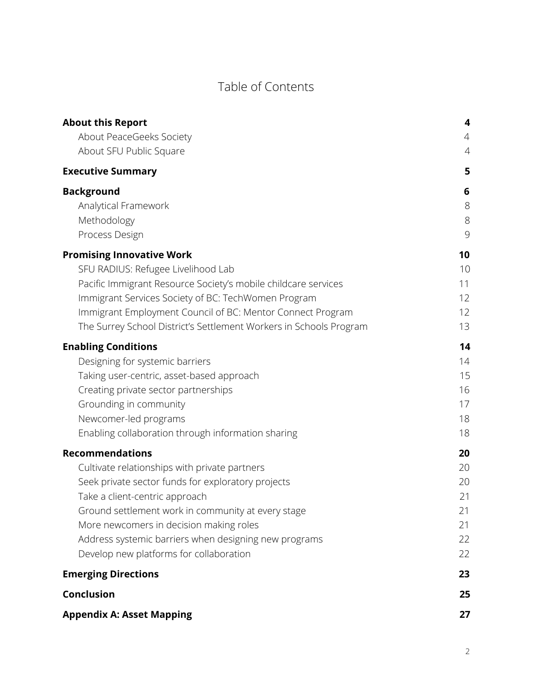### Table of Contents

| <b>About this Report</b>                                           | 4              |
|--------------------------------------------------------------------|----------------|
| About PeaceGeeks Society                                           | $\overline{4}$ |
| About SFU Public Square                                            | 4              |
| <b>Executive Summary</b>                                           | 5              |
| <b>Background</b>                                                  | 6              |
| Analytical Framework                                               | $8\,$          |
| Methodology                                                        | 8              |
| Process Design                                                     | 9              |
| <b>Promising Innovative Work</b>                                   | 10             |
| SFU RADIUS: Refugee Livelihood Lab                                 | 10             |
| Pacific Immigrant Resource Society's mobile childcare services     | 11             |
| Immigrant Services Society of BC: TechWomen Program                | 12             |
| Immigrant Employment Council of BC: Mentor Connect Program         | 12             |
| The Surrey School District's Settlement Workers in Schools Program | 13             |
| <b>Enabling Conditions</b>                                         | 14             |
| Designing for systemic barriers                                    | 14             |
| Taking user-centric, asset-based approach                          | 15             |
| Creating private sector partnerships                               | 16             |
| Grounding in community                                             | 17             |
| Newcomer-led programs                                              | 18             |
| Enabling collaboration through information sharing                 | 18             |
| <b>Recommendations</b>                                             | 20             |
| Cultivate relationships with private partners                      | 20             |
| Seek private sector funds for exploratory projects                 | 20             |
| Take a client-centric approach                                     | 21             |
| Ground settlement work in community at every stage                 | 21             |
| More newcomers in decision making roles                            | 21             |
| Address systemic barriers when designing new programs              | 22             |
| Develop new platforms for collaboration                            | 22             |
| <b>Emerging Directions</b>                                         | 23             |
| <b>Conclusion</b>                                                  | 25             |
| <b>Appendix A: Asset Mapping</b>                                   | 27             |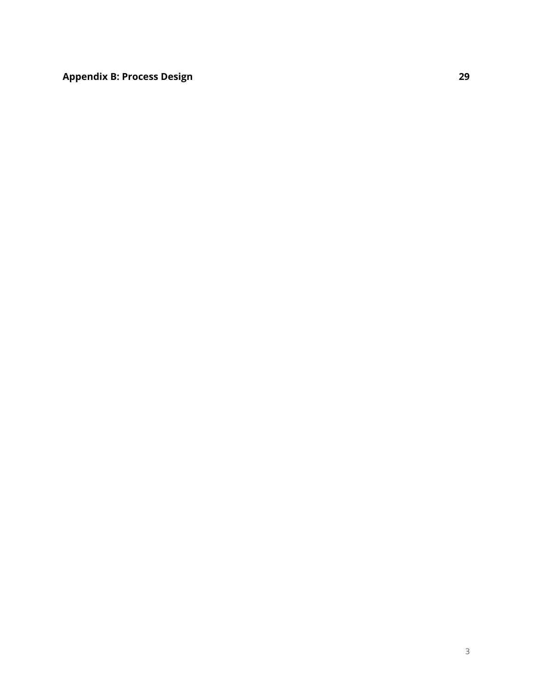**[Appendix](#page-28-0) B: Process Design [29](#page-28-0)**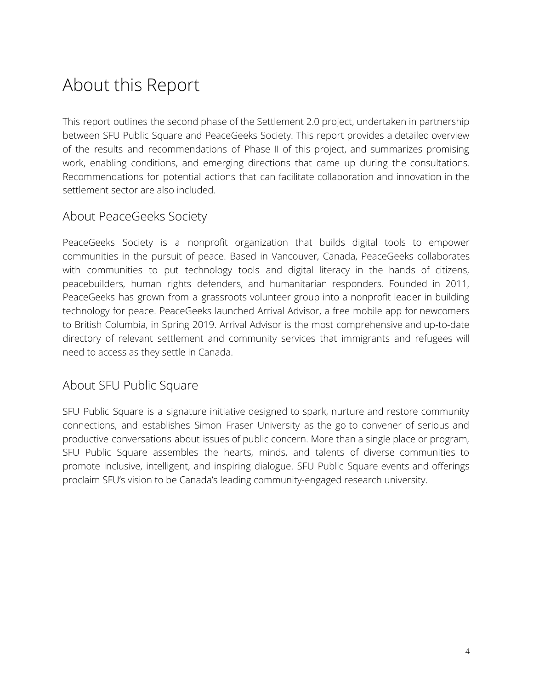## <span id="page-3-0"></span>About this Report

This report outlines the second phase of the Settlement 2.0 project, undertaken in partnership between SFU Public Square and PeaceGeeks Society. This report provides a detailed overview of the results and recommendations of Phase II of this project, and summarizes promising work, enabling conditions, and emerging directions that came up during the consultations. Recommendations for potential actions that can facilitate collaboration and innovation in the settlement sector are also included.

#### <span id="page-3-1"></span>About PeaceGeeks Society

PeaceGeeks Society is a nonprofit organization that builds digital tools to empower communities in the pursuit of peace. Based in Vancouver, Canada, PeaceGeeks collaborates with communities to put technology tools and digital literacy in the hands of citizens, peacebuilders, human rights defenders, and humanitarian responders. Founded in 2011, PeaceGeeks has grown from a grassroots volunteer group into a nonprofit leader in building technology for peace. PeaceGeeks launched Arrival Advisor, a free mobile app for newcomers to British Columbia, in Spring 2019. Arrival Advisor is the most comprehensive and up-to-date directory of relevant settlement and community services that immigrants and refugees will need to access as they settle in Canada.

#### <span id="page-3-2"></span>About SFU Public Square

SFU Public Square is a signature initiative designed to spark, nurture and restore community connections, and establishes Simon Fraser University as the go-to convener of serious and productive conversations about issues of public concern. More than a single place or program, SFU Public Square assembles the hearts, minds, and talents of diverse communities to promote inclusive, intelligent, and inspiring dialogue. SFU Public Square events and offerings proclaim [S](http://www.sfu.ca/engage/)FU's vision to be Canada's leading community-engaged research university.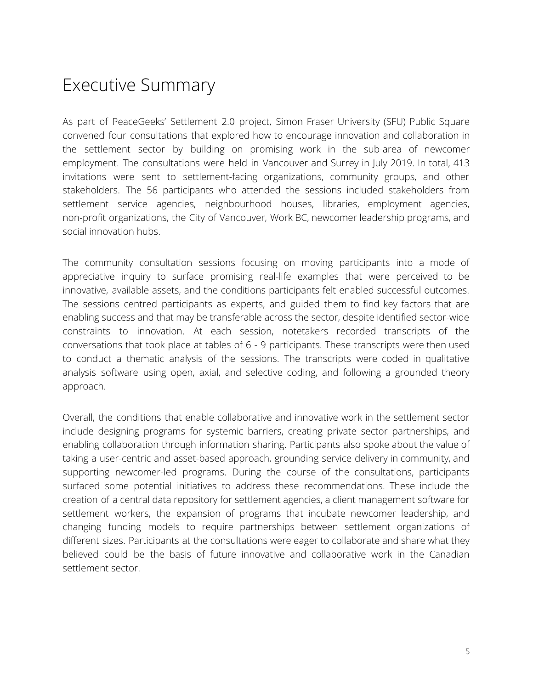### <span id="page-4-0"></span>Executive Summary

As part of PeaceGeeks' Settlement 2.0 project, Simon Fraser University (SFU) Public Square convened four consultations that explored how to encourage innovation and collaboration in the settlement sector by building on promising work in the sub-area of newcomer employment. The consultations were held in Vancouver and Surrey in July 2019. In total, 413 invitations were sent to settlement-facing organizations, community groups, and other stakeholders. The 56 participants who attended the sessions included stakeholders from settlement service agencies, neighbourhood houses, libraries, employment agencies, non-profit organizations, the City of Vancouver, Work BC, newcomer leadership programs, and social innovation hubs.

The community consultation sessions focusing on moving participants into a mode of appreciative inquiry to surface promising real-life examples that were perceived to be innovative, available assets, and the conditions participants felt enabled successful outcomes. The sessions centred participants as experts, and guided them to find key factors that are enabling success and that may be transferable across the sector, despite identified sector-wide constraints to innovation. At each session, notetakers recorded transcripts of the conversations that took place at tables of 6 - 9 participants. These transcripts were then used to conduct a thematic analysis of the sessions. The transcripts were coded in qualitative analysis software using open, axial, and selective coding, and following a grounded theory approach.

Overall, the conditions that enable collaborative and innovative work in the settlement sector include designing programs for systemic barriers, creating private sector partnerships, and enabling collaboration through information sharing. Participants also spoke about the value of taking a user-centric and asset-based approach, grounding service delivery in community, and supporting newcomer-led programs. During the course of the consultations, participants surfaced some potential initiatives to address these recommendations. These include the creation of a central data repository for settlement agencies, a client management software for settlement workers, the expansion of programs that incubate newcomer leadership, and changing funding models to require partnerships between settlement organizations of different sizes. Participants at the consultations were eager to collaborate and share what they believed could be the basis of future innovative and collaborative work in the Canadian settlement sector.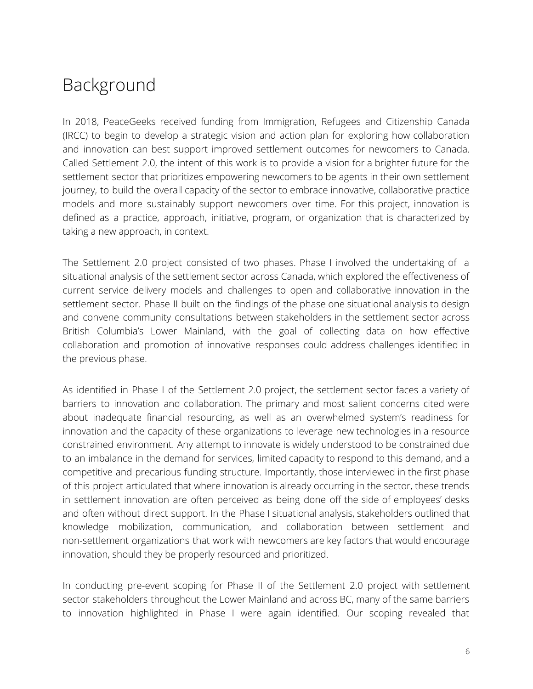### <span id="page-5-0"></span>Background

In 2018, PeaceGeeks received funding from Immigration, Refugees and Citizenship Canada (IRCC) to begin to develop a strategic vision and action plan for exploring how collaboration and innovation can best support improved settlement outcomes for newcomers to Canada. Called Settlement 2.0, the intent of this work is to provide a vision for a brighter future for the settlement sector that prioritizes empowering newcomers to be agents in their own settlement journey, to build the overall capacity of the sector to embrace innovative, collaborative practice models and more sustainably support newcomers over time. For this project, innovation is defined as a practice, approach, initiative, program, or organization that is characterized by taking a new approach, in context.

The Settlement 2.0 project consisted of two phases. Phase I involved the undertaking of a situational analysis of the settlement sector across Canada, which explored the effectiveness of current service delivery models and challenges to open and collaborative innovation in the settlement sector. Phase II built on the findings of the phase one situational analysis to design and convene community consultations between stakeholders in the settlement sector across British Columbia's Lower Mainland, with the goal of collecting data on how effective collaboration and promotion of innovative responses could address challenges identified in the previous phase.

As identified in Phase I of the Settlement 2.0 project, the settlement sector faces a variety of barriers to innovation and collaboration. The primary and most salient concerns cited were about inadequate financial resourcing, as well as an overwhelmed system's readiness for innovation and the capacity of these organizations to leverage new technologies in a resource constrained environment. Any attempt to innovate is widely understood to be constrained due to an imbalance in the demand for services, limited capacity to respond to this demand, and a competitive and precarious funding structure. Importantly, those interviewed in the first phase of this project articulated that where innovation is already occurring in the sector, these trends in settlement innovation are often perceived as being done off the side of employees' desks and often without direct support. In the Phase I situational analysis, stakeholders outlined that knowledge mobilization, communication, and collaboration between settlement and non-settlement organizations that work with newcomers are key factors that would encourage innovation, should they be properly resourced and prioritized.

In conducting pre-event scoping for Phase II of the Settlement 2.0 project with settlement sector stakeholders throughout the Lower Mainland and across BC, many of the same barriers to innovation highlighted in Phase I were again identified. Our scoping revealed that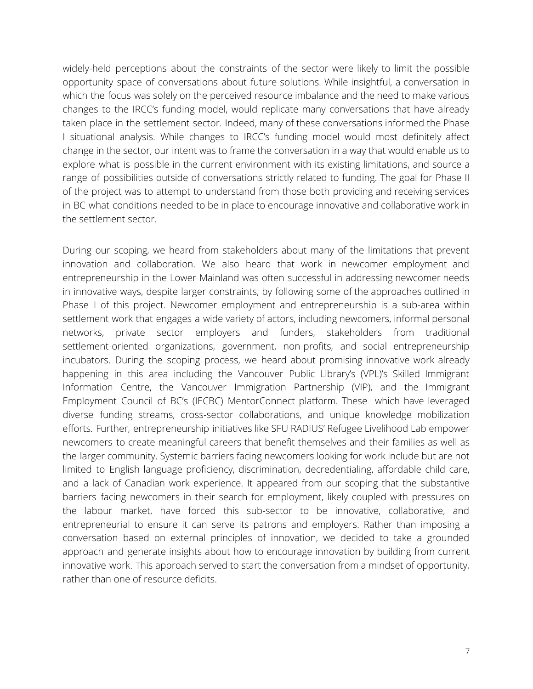widely-held perceptions about the constraints of the sector were likely to limit the possible opportunity space of conversations about future solutions. While insightful, a conversation in which the focus was solely on the perceived resource imbalance and the need to make various changes to the IRCC's funding model, would replicate many conversations that have already taken place in the settlement sector. Indeed, many of these conversations informed the Phase I situational analysis. While changes to IRCC's funding model would most definitely affect change in the sector, our intent was to frame the conversation in a way that would enable us to explore what is possible in the current environment with its existing limitations, and source a range of possibilities outside of conversations strictly related to funding. The goal for Phase II of the project was to attempt to understand from those both providing and receiving services in BC what conditions needed to be in place to encourage innovative and collaborative work in the settlement sector.

During our scoping, we heard from stakeholders about many of the limitations that prevent innovation and collaboration. We also heard that work in newcomer employment and entrepreneurship in the Lower Mainland was often successful in addressing newcomer needs in innovative ways, despite larger constraints, by following some of the approaches outlined in Phase I of this project. Newcomer employment and entrepreneurship is a sub-area within settlement work that engages a wide variety of actors, including newcomers, informal personal networks, private sector employers and funders, stakeholders from traditional settlement-oriented organizations, government, non-profits, and social entrepreneurship incubators. During the scoping process, we heard about promising innovative work already happening in this area including the Vancouver Public Library's (VPL)'s Skilled Immigrant Information Centre, the Vancouver Immigration Partnership (VIP), and the Immigrant Employment Council of BC's (IECBC) MentorConnect platform. These which have leveraged diverse funding streams, cross-sector collaborations, and unique knowledge mobilization efforts. Further, entrepreneurship initiatives like SFU RADIUS' Refugee Livelihood Lab empower newcomers to create meaningful careers that benefit themselves and their families as well as the larger community. Systemic barriers facing newcomers looking for work include but are not limited to English language proficiency, discrimination, decredentialing, affordable child care, and a lack of Canadian work experience. It appeared from our scoping that the substantive barriers facing newcomers in their search for employment, likely coupled with pressures on the labour market, have forced this sub-sector to be innovative, collaborative, and entrepreneurial to ensure it can serve its patrons and employers. Rather than imposing a conversation based on external principles of innovation, we decided to take a grounded approach and generate insights about how to encourage innovation by building from current innovative work. This approach served to start the conversation from a mindset of opportunity, rather than one of resource deficits.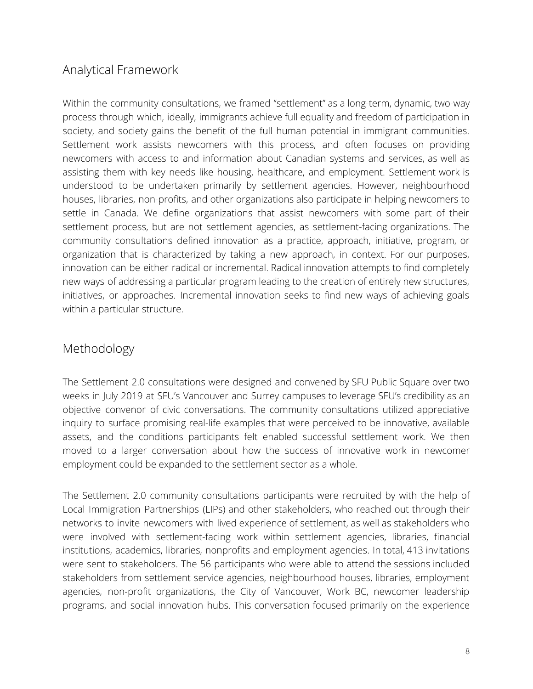#### <span id="page-7-0"></span>Analytical Framework

Within the community consultations, we framed "settlement" as a long-term, dynamic, two-way process through which, ideally, immigrants achieve full equality and freedom of participation in society, and society gains the benefit of the full human potential in immigrant communities. Settlement work assists newcomers with this process, and often focuses on providing newcomers with access to and information about Canadian systems and services, as well as assisting them with key needs like housing, healthcare, and employment. Settlement work is understood to be undertaken primarily by settlement agencies. However, neighbourhood houses, libraries, non-profits, and other organizations also participate in helping newcomers to settle in Canada. We define organizations that assist newcomers with some part of their settlement process, but are not settlement agencies, as settlement-facing organizations. The community consultations defined innovation as a practice, approach, initiative, program, or organization that is characterized by taking a new approach, in context. For our purposes, innovation can be either radical or incremental. Radical innovation attempts to find completely new ways of addressing a particular program leading to the creation of entirely new structures, initiatives, or approaches. Incremental innovation seeks to find new ways of achieving goals within a particular structure.

#### <span id="page-7-1"></span>Methodology

The Settlement 2.0 consultations were designed and convened by SFU Public Square over two weeks in July 2019 at SFU's Vancouver and Surrey campuses to leverage SFU's credibility as an objective convenor of civic conversations. The community consultations utilized appreciative inquiry to surface promising real-life examples that were perceived to be innovative, available assets, and the conditions participants felt enabled successful settlement work. We then moved to a larger conversation about how the success of innovative work in newcomer employment could be expanded to the settlement sector as a whole.

The Settlement 2.0 community consultations participants were recruited by with the help of Local Immigration Partnerships (LIPs) and other stakeholders, who reached out through their networks to invite newcomers with lived experience of settlement, as well as stakeholders who were involved with settlement-facing work within settlement agencies, libraries, financial institutions, academics, libraries, nonprofits and employment agencies. In total, 413 invitations were sent to stakeholders. The 56 participants who were able to attend the sessions included stakeholders from settlement service agencies, neighbourhood houses, libraries, employment agencies, non-profit organizations, the City of Vancouver, Work BC, newcomer leadership programs, and social innovation hubs. This conversation focused primarily on the experience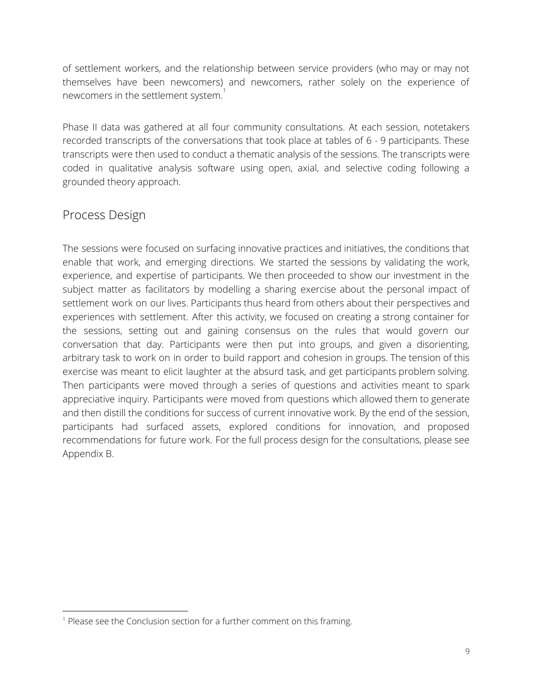of settlement workers, and the relationship between service providers (who may or may not themselves have been newcomers) and newcomers, rather solely on the experience of newcomers in the settlement system. $^\mathrm{1}$ 

Phase II data was gathered at all four community consultations. At each session, notetakers recorded transcripts of the conversations that took place at tables of 6 - 9 participants. These transcripts were then used to conduct a thematic analysis of the sessions. The transcripts were coded in qualitative analysis software using open, axial, and selective coding following a grounded theory approach.

#### <span id="page-8-0"></span>Process Design

The sessions were focused on surfacing innovative practices and initiatives, the conditions that enable that work, and emerging directions. We started the sessions by validating the work, experience, and expertise of participants. We then proceeded to show our investment in the subject matter as facilitators by modelling a sharing exercise about the personal impact of settlement work on our lives. Participants thus heard from others about their perspectives and experiences with settlement. After this activity, we focused on creating a strong container for the sessions, setting out and gaining consensus on the rules that would govern our conversation that day. Participants were then put into groups, and given a disorienting, arbitrary task to work on in order to build rapport and cohesion in groups. The tension of this exercise was meant to elicit laughter at the absurd task, and get participants problem solving. Then participants were moved through a series of questions and activities meant to spark appreciative inquiry. Participants were moved from questions which allowed them to generate and then distill the conditions for success of current innovative work. By the end of the session, participants had surfaced assets, explored conditions for innovation, and proposed recommendations for future work. For the full process design for the consultations, please see Appendix B.

<sup>&</sup>lt;sup>1</sup> Please see the Conclusion section for a further comment on this framing.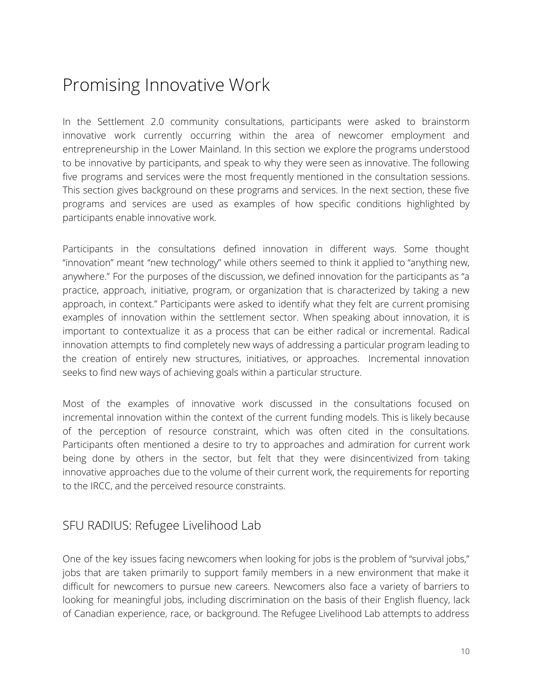### <span id="page-9-0"></span>Promising Innovative Work

In the Settlement 2.0 community consultations, participants were asked to brainstorm innovative work currently occurring within the area of newcomer employment and entrepreneurship in the Lower Mainland. In this section we explore the programs understood to be innovative by participants, and speak to why they were seen as innovative. The following five programs and services were the most frequently mentioned in the consultation sessions. This section gives background on these programs and services. In the next section, these five programs and services are used as examples of how specific conditions highlighted by participants enable innovative work.

Participants in the consultations defined innovation in different ways. Some thought "innovation" meant "new technology" while others seemed to think it applied to "anything new, anywhere." For the purposes of the discussion, we defined innovation for the participants as "a practice, approach, initiative, program, or organization that is characterized by taking a new approach, in context." Participants were asked to identify what they felt are current promising examples of innovation within the settlement sector. When speaking about innovation, it is important to contextualize it as a process that can be either radical or incremental. Radical innovation attempts to find completely new ways of addressing a particular program leading to the creation of entirely new structures, initiatives, or approaches. Incremental innovation seeks to find new ways of achieving goals within a particular structure.

Most of the examples of innovative work discussed in the consultations focused on incremental innovation within the context of the current funding models. This is likely because of the perception of resource constraint, which was often cited in the consultations. Participants often mentioned a desire to try to approaches and admiration for current work being done by others in the sector, but felt that they were disincentivized from taking innovative approaches due to the volume of their current work, the requirements for reporting to the IRCC, and the perceived resource constraints.

#### <span id="page-9-1"></span>SFU RADIUS: Refugee Livelihood Lab

One of the key issues facing newcomers when looking for jobs is the problem of "survival jobs," jobs that are taken primarily to support family members in a new environment that make it difficult for newcomers to pursue new careers. Newcomers also face a variety of barriers to looking for meaningful jobs, including discrimination on the basis of their English fluency, lack of Canadian experience, race, or background. The Refugee Livelihood Lab attempts to address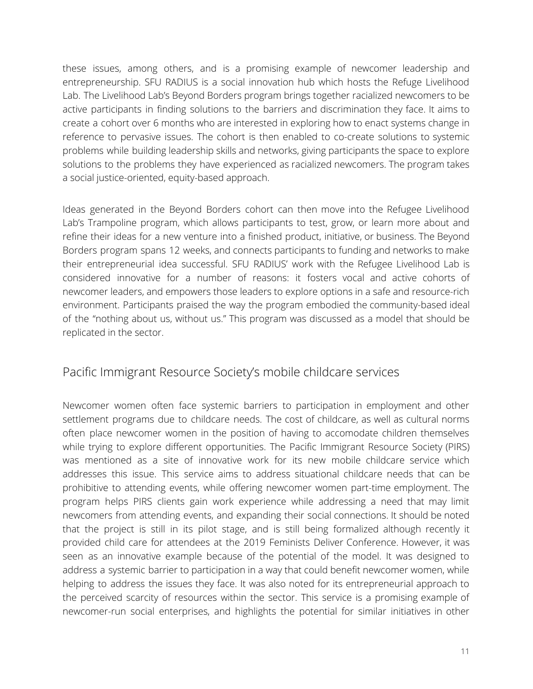these issues, among others, and is a promising example of newcomer leadership and entrepreneurship. SFU RADIUS is a social innovation hub which hosts the Refuge Livelihood Lab. The Livelihood Lab's Beyond Borders program brings together racialized newcomers to be active participants in finding solutions to the barriers and discrimination they face. It aims to create a cohort over 6 months who are interested in exploring how to enact systems change in reference to pervasive issues. The cohort is then enabled to co-create solutions to systemic problems while building leadership skills and networks, giving participants the space to explore solutions to the problems they have experienced as racialized newcomers. The program takes a social justice-oriented, equity-based approach.

Ideas generated in the Beyond Borders cohort can then move into the Refugee Livelihood Lab's Trampoline program, which allows participants to test, grow, or learn more about and refine their ideas for a new venture into a finished product, initiative, or business. The Beyond Borders program spans 12 weeks, and connects participants to funding and networks to make their entrepreneurial idea successful. SFU RADIUS' work with the Refugee Livelihood Lab is considered innovative for a number of reasons: it fosters vocal and active cohorts of newcomer leaders, and empowers those leaders to explore options in a safe and resource-rich environment. Participants praised the way the program embodied the community-based ideal of the "nothing about us, without us." This program was discussed as a model that should be replicated in the sector.

#### <span id="page-10-0"></span>Pacific Immigrant Resource Society's mobile childcare services

Newcomer women often face systemic barriers to participation in employment and other settlement programs due to childcare needs. The cost of childcare, as well as cultural norms often place newcomer women in the position of having to accomodate children themselves while trying to explore different opportunities. The Pacific Immigrant Resource Society (PIRS) was mentioned as a site of innovative work for its new mobile childcare service which addresses this issue. This service aims to address situational childcare needs that can be prohibitive to attending events, while offering newcomer women part-time employment. The program helps PIRS clients gain work experience while addressing a need that may limit newcomers from attending events, and expanding their social connections. It should be noted that the project is still in its pilot stage, and is still being formalized although recently it provided child care for attendees at the 2019 Feminists Deliver Conference. However, it was seen as an innovative example because of the potential of the model. It was designed to address a systemic barrier to participation in a way that could benefit newcomer women, while helping to address the issues they face. It was also noted for its entrepreneurial approach to the perceived scarcity of resources within the sector. This service is a promising example of newcomer-run social enterprises, and highlights the potential for similar initiatives in other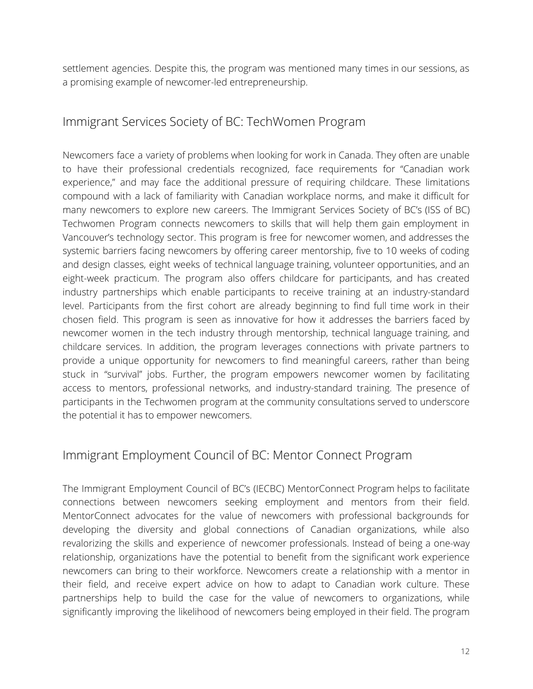settlement agencies. Despite this, the program was mentioned many times in our sessions, as a promising example of newcomer-led entrepreneurship.

#### <span id="page-11-0"></span>Immigrant Services Society of BC: TechWomen Program

Newcomers face a variety of problems when looking for work in Canada. They often are unable to have their professional credentials recognized, face requirements for "Canadian work experience," and may face the additional pressure of requiring childcare. These limitations compound with a lack of familiarity with Canadian workplace norms, and make it difficult for many newcomers to explore new careers. The Immigrant Services Society of BC's (ISS of BC) Techwomen Program connects newcomers to skills that will help them gain employment in Vancouver's technology sector. This program is free for newcomer women, and addresses the systemic barriers facing newcomers by offering career mentorship, five to 10 weeks of coding and design classes, eight weeks of technical language training, volunteer opportunities, and an eight-week practicum. The program also offers childcare for participants, and has created industry partnerships which enable participants to receive training at an industry-standard level. Participants from the first cohort are already beginning to find full time work in their chosen field. This program is seen as innovative for how it addresses the barriers faced by newcomer women in the tech industry through mentorship, technical language training, and childcare services. In addition, the program leverages connections with private partners to provide a unique opportunity for newcomers to find meaningful careers, rather than being stuck in "survival" jobs. Further, the program empowers newcomer women by facilitating access to mentors, professional networks, and industry-standard training. The presence of participants in the Techwomen program at the community consultations served to underscore the potential it has to empower newcomers.

#### <span id="page-11-1"></span>Immigrant Employment Council of BC: Mentor Connect Program

The Immigrant Employment Council of BC's (IECBC) MentorConnect Program helps to facilitate connections between newcomers seeking employment and mentors from their field. MentorConnect advocates for the value of newcomers with professional backgrounds for developing the diversity and global connections of Canadian organizations, while also revalorizing the skills and experience of newcomer professionals. Instead of being a one-way relationship, organizations have the potential to benefit from the significant work experience newcomers can bring to their workforce. Newcomers create a relationship with a mentor in their field, and receive expert advice on how to adapt to Canadian work culture. These partnerships help to build the case for the value of newcomers to organizations, while significantly improving the likelihood of newcomers being employed in their field. The program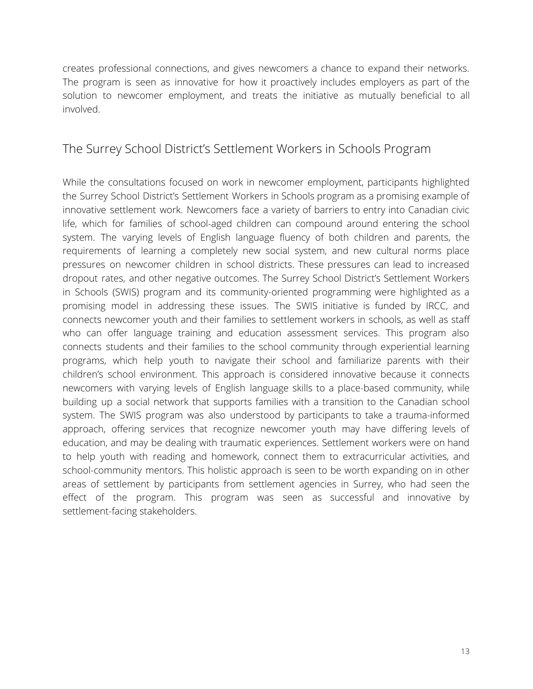creates professional connections, and gives newcomers a chance to expand their networks. The program is seen as innovative for how it proactively includes employers as part of the solution to newcomer employment, and treats the initiative as mutually beneficial to all involved.

#### <span id="page-12-0"></span>The Surrey School District's Settlement Workers in Schools Program

While the consultations focused on work in newcomer employment, participants highlighted the Surrey School District's Settlement Workers in Schools program as a promising example of innovative settlement work. Newcomers face a variety of barriers to entry into Canadian civic life, which for families of school-aged children can compound around entering the school system. The varying levels of English language fluency of both children and parents, the requirements of learning a completely new social system, and new cultural norms place pressures on newcomer children in school districts. These pressures can lead to increased dropout rates, and other negative outcomes. The Surrey School District's Settlement Workers in Schools (SWIS) program and its community-oriented programming were highlighted as a promising model in addressing these issues. The SWIS initiative is funded by IRCC, and connects newcomer youth and their families to settlement workers in schools, as well as staff who can offer language training and education assessment services. This program also connects students and their families to the school community through experiential learning programs, which help youth to navigate their school and familiarize parents with their children's school environment. This approach is considered innovative because it connects newcomers with varying levels of English language skills to a place-based community, while building up a social network that supports families with a transition to the Canadian school system. The SWIS program was also understood by participants to take a trauma-informed approach, offering services that recognize newcomer youth may have differing levels of education, and may be dealing with traumatic experiences. Settlement workers were on hand to help youth with reading and homework, connect them to extracurricular activities, and school-community mentors. This holistic approach is seen to be worth expanding on in other areas of settlement by participants from settlement agencies in Surrey, who had seen the effect of the program. This program was seen as successful and innovative by settlement-facing stakeholders.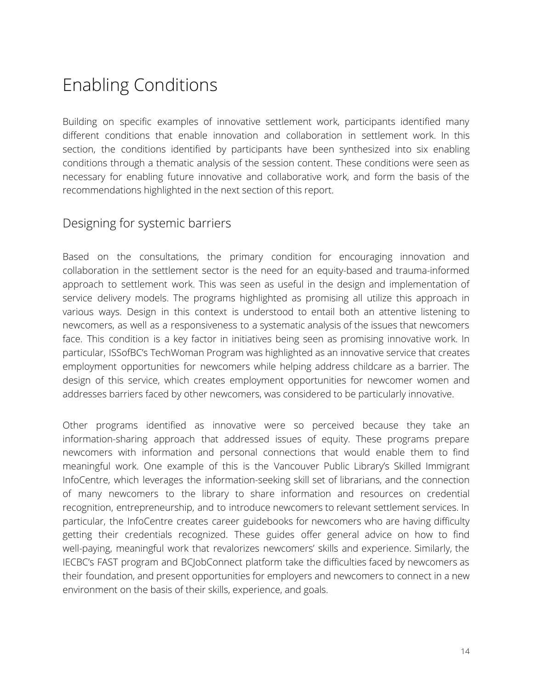### <span id="page-13-0"></span>Enabling Conditions

Building on specific examples of innovative settlement work, participants identified many different conditions that enable innovation and collaboration in settlement work. In this section, the conditions identified by participants have been synthesized into six enabling conditions through a thematic analysis of the session content. These conditions were seen as necessary for enabling future innovative and collaborative work, and form the basis of the recommendations highlighted in the next section of this report.

#### <span id="page-13-1"></span>Designing for systemic barriers

Based on the consultations, the primary condition for encouraging innovation and collaboration in the settlement sector is the need for an equity-based and trauma-informed approach to settlement work. This was seen as useful in the design and implementation of service delivery models. The programs highlighted as promising all utilize this approach in various ways. Design in this context is understood to entail both an attentive listening to newcomers, as well as a responsiveness to a systematic analysis of the issues that newcomers face. This condition is a key factor in initiatives being seen as promising innovative work. In particular, ISSofBC's TechWoman Program was highlighted as an innovative service that creates employment opportunities for newcomers while helping address childcare as a barrier. The design of this service, which creates employment opportunities for newcomer women and addresses barriers faced by other newcomers, was considered to be particularly innovative.

Other programs identified as innovative were so perceived because they take an information-sharing approach that addressed issues of equity. These programs prepare newcomers with information and personal connections that would enable them to find meaningful work. One example of this is the Vancouver Public Library's Skilled Immigrant InfoCentre, which leverages the information-seeking skill set of librarians, and the connection of many newcomers to the library to share information and resources on credential recognition, entrepreneurship, and to introduce newcomers to relevant settlement services. In particular, the InfoCentre creates career guidebooks for newcomers who are having difficulty getting their credentials recognized. These guides offer general advice on how to find well-paying, meaningful work that revalorizes newcomers' skills and experience. Similarly, the IECBC's FAST program and BCJobConnect platform take the difficulties faced by newcomers as their foundation, and present opportunities for employers and newcomers to connect in a new environment on the basis of their skills, experience, and goals.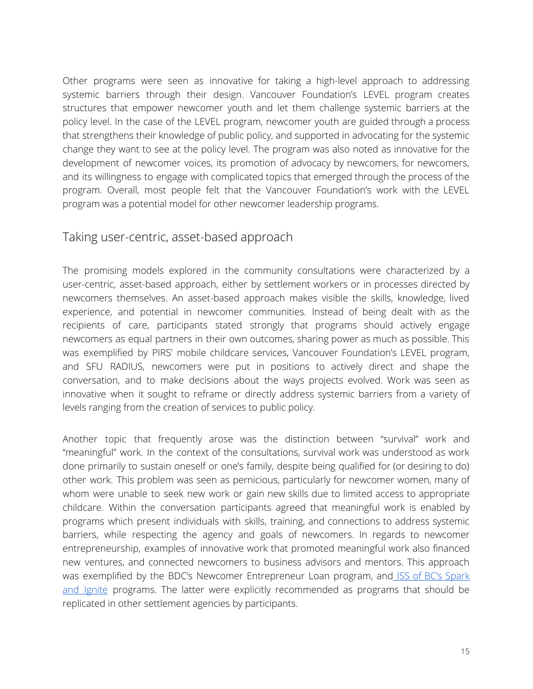Other programs were seen as innovative for taking a high-level approach to addressing systemic barriers through their design. Vancouver Foundation's LEVEL program creates structures that empower newcomer youth and let them challenge systemic barriers at the policy level. In the case of the LEVEL program, newcomer youth are guided through a process that strengthens their knowledge of public policy, and supported in advocating for the systemic change they want to see at the policy level. The program was also noted as innovative for the development of newcomer voices, its promotion of advocacy by newcomers, for newcomers, and its willingness to engage with complicated topics that emerged through the process of the program. Overall, most people felt that the Vancouver Foundation's work with the LEVEL program was a potential model for other newcomer leadership programs.

#### <span id="page-14-0"></span>Taking user-centric, asset-based approach

The promising models explored in the community consultations were characterized by a user-centric, asset-based approach, either by settlement workers or in processes directed by newcomers themselves. An asset-based approach makes visible the skills, knowledge, lived experience, and potential in newcomer communities. Instead of being dealt with as the recipients of care, participants stated strongly that programs should actively engage newcomers as equal partners in their own outcomes, sharing power as much as possible. This was exemplified by PIRS' mobile childcare services, Vancouver Foundation's LEVEL program, and SFU RADIUS, newcomers were put in positions to actively direct and shape the conversation, and to make decisions about the ways projects evolved. Work was seen as innovative when it sought to reframe or directly address systemic barriers from a variety of levels ranging from the creation of services to public policy.

Another topic that frequently arose was the distinction between "survival" work and "meaningful" work. In the context of the consultations, survival work was understood as work done primarily to sustain oneself or one's family, despite being qualified for (or desiring to do) other work. This problem was seen as pernicious, particularly for newcomer women, many of whom were unable to seek new work or gain new skills due to limited access to appropriate childcare. Within the conversation participants agreed that meaningful work is enabled by programs which present individuals with skills, training, and connections to address systemic barriers, while respecting the agency and goals of newcomers. In regards to newcomer entrepreneurship, examples of innovative work that promoted meaningful work also financed new ventures, and connected newcomers to business advisors and mentors. This approach was exemplified by the BDC's Newcomer Entrepreneur Loan program, and ISS of BC's [Spark](https://issbc.org/service-types/explore_entrepreneurship) and [Ignite](https://issbc.org/service-types/explore_entrepreneurship) programs. The latter were explicitly recommended as programs that should be replicated in other settlement agencies by participants.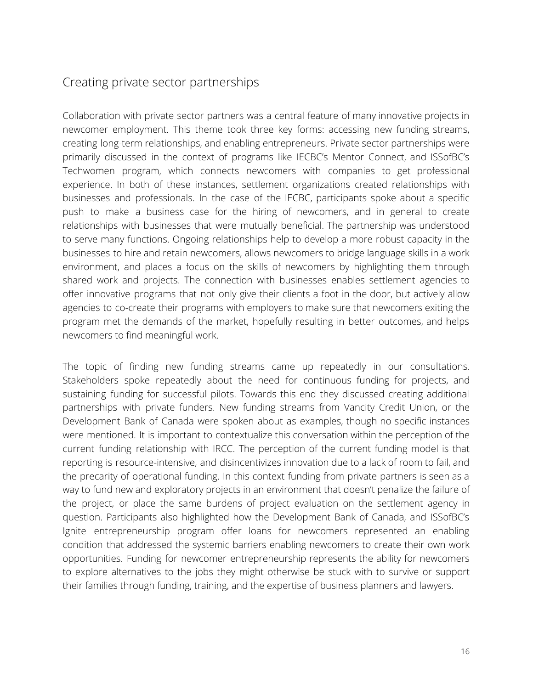#### <span id="page-15-0"></span>Creating private sector partnerships

Collaboration with private sector partners was a central feature of many innovative projects in newcomer employment. This theme took three key forms: accessing new funding streams, creating long-term relationships, and enabling entrepreneurs. Private sector partnerships were primarily discussed in the context of programs like IECBC's Mentor Connect, and ISSofBC's Techwomen program, which connects newcomers with companies to get professional experience. In both of these instances, settlement organizations created relationships with businesses and professionals. In the case of the IECBC, participants spoke about a specific push to make a business case for the hiring of newcomers, and in general to create relationships with businesses that were mutually beneficial. The partnership was understood to serve many functions. Ongoing relationships help to develop a more robust capacity in the businesses to hire and retain newcomers, allows newcomers to bridge language skills in a work environment, and places a focus on the skills of newcomers by highlighting them through shared work and projects. The connection with businesses enables settlement agencies to offer innovative programs that not only give their clients a foot in the door, but actively allow agencies to co-create their programs with employers to make sure that newcomers exiting the program met the demands of the market, hopefully resulting in better outcomes, and helps newcomers to find meaningful work.

The topic of finding new funding streams came up repeatedly in our consultations. Stakeholders spoke repeatedly about the need for continuous funding for projects, and sustaining funding for successful pilots. Towards this end they discussed creating additional partnerships with private funders. New funding streams from Vancity Credit Union, or the Development Bank of Canada were spoken about as examples, though no specific instances were mentioned. It is important to contextualize this conversation within the perception of the current funding relationship with IRCC. The perception of the current funding model is that reporting is resource-intensive, and disincentivizes innovation due to a lack of room to fail, and the precarity of operational funding. In this context funding from private partners is seen as a way to fund new and exploratory projects in an environment that doesn't penalize the failure of the project, or place the same burdens of project evaluation on the settlement agency in question. Participants also highlighted how the Development Bank of Canada, and ISSofBC's Ignite entrepreneurship program offer loans for newcomers represented an enabling condition that addressed the systemic barriers enabling newcomers to create their own work opportunities. Funding for newcomer entrepreneurship represents the ability for newcomers to explore alternatives to the jobs they might otherwise be stuck with to survive or support their families through funding, training, and the expertise of business planners and lawyers.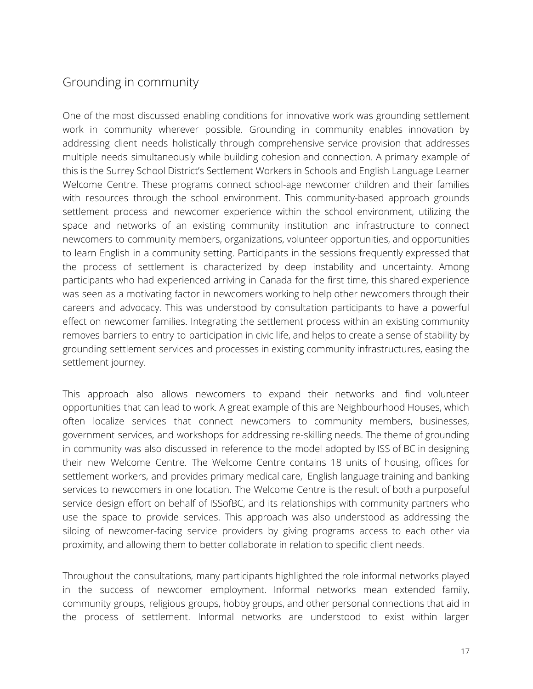#### <span id="page-16-0"></span>Grounding in community

One of the most discussed enabling conditions for innovative work was grounding settlement work in community wherever possible. Grounding in community enables innovation by addressing client needs holistically through comprehensive service provision that addresses multiple needs simultaneously while building cohesion and connection. A primary example of this is the Surrey School District's Settlement Workers in Schools and English Language Learner Welcome Centre. These programs connect school-age newcomer children and their families with resources through the school environment. This community-based approach grounds settlement process and newcomer experience within the school environment, utilizing the space and networks of an existing community institution and infrastructure to connect newcomers to community members, organizations, volunteer opportunities, and opportunities to learn English in a community setting. Participants in the sessions frequently expressed that the process of settlement is characterized by deep instability and uncertainty. Among participants who had experienced arriving in Canada for the first time, this shared experience was seen as a motivating factor in newcomers working to help other newcomers through their careers and advocacy. This was understood by consultation participants to have a powerful effect on newcomer families. Integrating the settlement process within an existing community removes barriers to entry to participation in civic life, and helps to create a sense of stability by grounding settlement services and processes in existing community infrastructures, easing the settlement journey.

This approach also allows newcomers to expand their networks and find volunteer opportunities that can lead to work. A great example of this are Neighbourhood Houses, which often localize services that connect newcomers to community members, businesses, government services, and workshops for addressing re-skilling needs. The theme of grounding in community was also discussed in reference to the model adopted by ISS of BC in designing their new Welcome Centre. The Welcome Centre contains 18 units of housing, offices for settlement workers, and provides primary medical care, English language training and banking services to newcomers in one location. The Welcome Centre is the result of both a purposeful service design effort on behalf of ISSofBC, and its relationships with community partners who use the space to provide services. This approach was also understood as addressing the siloing of newcomer-facing service providers by giving programs access to each other via proximity, and allowing them to better collaborate in relation to specific client needs.

Throughout the consultations, many participants highlighted the role informal networks played in the success of newcomer employment. Informal networks mean extended family, community groups, religious groups, hobby groups, and other personal connections that aid in the process of settlement. Informal networks are understood to exist within larger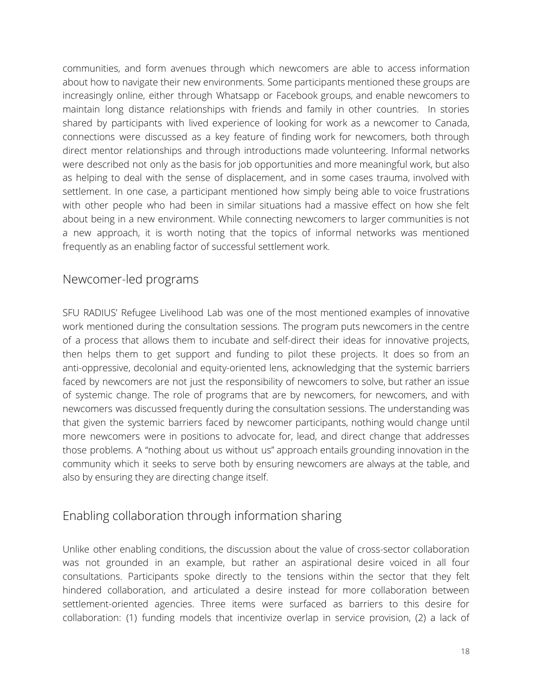communities, and form avenues through which newcomers are able to access information about how to navigate their new environments. Some participants mentioned these groups are increasingly online, either through Whatsapp or Facebook groups, and enable newcomers to maintain long distance relationships with friends and family in other countries. In stories shared by participants with lived experience of looking for work as a newcomer to Canada, connections were discussed as a key feature of finding work for newcomers, both through direct mentor relationships and through introductions made volunteering. Informal networks were described not only as the basis for job opportunities and more meaningful work, but also as helping to deal with the sense of displacement, and in some cases trauma, involved with settlement. In one case, a participant mentioned how simply being able to voice frustrations with other people who had been in similar situations had a massive effect on how she felt about being in a new environment. While connecting newcomers to larger communities is not a new approach, it is worth noting that the topics of informal networks was mentioned frequently as an enabling factor of successful settlement work.

#### <span id="page-17-0"></span>Newcomer-led programs

SFU RADIUS' Refugee Livelihood Lab was one of the most mentioned examples of innovative work mentioned during the consultation sessions. The program puts newcomers in the centre of a process that allows them to incubate and self-direct their ideas for innovative projects, then helps them to get support and funding to pilot these projects. It does so from an anti-oppressive, decolonial and equity-oriented lens, acknowledging that the systemic barriers faced by newcomers are not just the responsibility of newcomers to solve, but rather an issue of systemic change. The role of programs that are by newcomers, for newcomers, and with newcomers was discussed frequently during the consultation sessions. The understanding was that given the systemic barriers faced by newcomer participants, nothing would change until more newcomers were in positions to advocate for, lead, and direct change that addresses those problems. A "nothing about us without us" approach entails grounding innovation in the community which it seeks to serve both by ensuring newcomers are always at the table, and also by ensuring they are directing change itself.

#### <span id="page-17-1"></span>Enabling collaboration through information sharing

Unlike other enabling conditions, the discussion about the value of cross-sector collaboration was not grounded in an example, but rather an aspirational desire voiced in all four consultations. Participants spoke directly to the tensions within the sector that they felt hindered collaboration, and articulated a desire instead for more collaboration between settlement-oriented agencies. Three items were surfaced as barriers to this desire for collaboration: (1) funding models that incentivize overlap in service provision, (2) a lack of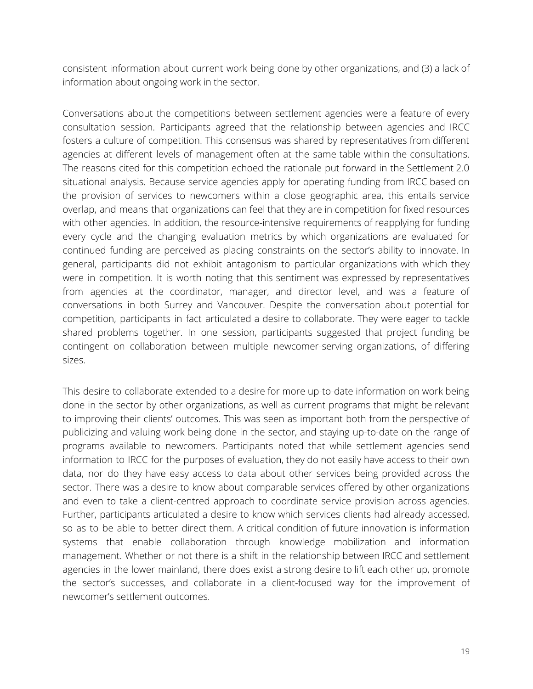consistent information about current work being done by other organizations, and (3) a lack of information about ongoing work in the sector.

Conversations about the competitions between settlement agencies were a feature of every consultation session. Participants agreed that the relationship between agencies and IRCC fosters a culture of competition. This consensus was shared by representatives from different agencies at different levels of management often at the same table within the consultations. The reasons cited for this competition echoed the rationale put forward in the Settlement 2.0 situational analysis. Because service agencies apply for operating funding from IRCC based on the provision of services to newcomers within a close geographic area, this entails service overlap, and means that organizations can feel that they are in competition for fixed resources with other agencies. In addition, the resource-intensive requirements of reapplying for funding every cycle and the changing evaluation metrics by which organizations are evaluated for continued funding are perceived as placing constraints on the sector's ability to innovate. In general, participants did not exhibit antagonism to particular organizations with which they were in competition. It is worth noting that this sentiment was expressed by representatives from agencies at the coordinator, manager, and director level, and was a feature of conversations in both Surrey and Vancouver. Despite the conversation about potential for competition, participants in fact articulated a desire to collaborate. They were eager to tackle shared problems together. In one session, participants suggested that project funding be contingent on collaboration between multiple newcomer-serving organizations, of differing sizes.

This desire to collaborate extended to a desire for more up-to-date information on work being done in the sector by other organizations, as well as current programs that might be relevant to improving their clients' outcomes. This was seen as important both from the perspective of publicizing and valuing work being done in the sector, and staying up-to-date on the range of programs available to newcomers. Participants noted that while settlement agencies send information to IRCC for the purposes of evaluation, they do not easily have access to their own data, nor do they have easy access to data about other services being provided across the sector. There was a desire to know about comparable services offered by other organizations and even to take a client-centred approach to coordinate service provision across agencies. Further, participants articulated a desire to know which services clients had already accessed, so as to be able to better direct them. A critical condition of future innovation is information systems that enable collaboration through knowledge mobilization and information management. Whether or not there is a shift in the relationship between IRCC and settlement agencies in the lower mainland, there does exist a strong desire to lift each other up, promote the sector's successes, and collaborate in a client-focused way for the improvement of newcomer's settlement outcomes.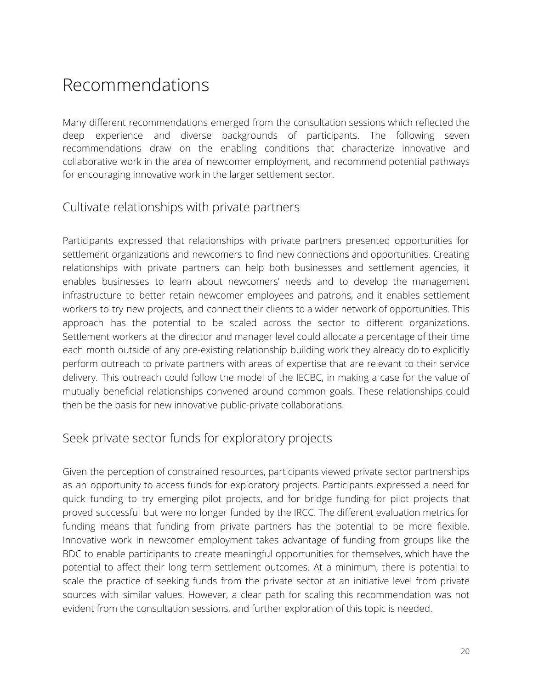### <span id="page-19-0"></span>Recommendations

Many different recommendations emerged from the consultation sessions which reflected the deep experience and diverse backgrounds of participants. The following seven recommendations draw on the enabling conditions that characterize innovative and collaborative work in the area of newcomer employment, and recommend potential pathways for encouraging innovative work in the larger settlement sector.

#### <span id="page-19-1"></span>Cultivate relationships with private partners

Participants expressed that relationships with private partners presented opportunities for settlement organizations and newcomers to find new connections and opportunities. Creating relationships with private partners can help both businesses and settlement agencies, it enables businesses to learn about newcomers' needs and to develop the management infrastructure to better retain newcomer employees and patrons, and it enables settlement workers to try new projects, and connect their clients to a wider network of opportunities. This approach has the potential to be scaled across the sector to different organizations. Settlement workers at the director and manager level could allocate a percentage of their time each month outside of any pre-existing relationship building work they already do to explicitly perform outreach to private partners with areas of expertise that are relevant to their service delivery. This outreach could follow the model of the IECBC, in making a case for the value of mutually beneficial relationships convened around common goals. These relationships could then be the basis for new innovative public-private collaborations.

#### <span id="page-19-2"></span>Seek private sector funds for exploratory projects

Given the perception of constrained resources, participants viewed private sector partnerships as an opportunity to access funds for exploratory projects. Participants expressed a need for quick funding to try emerging pilot projects, and for bridge funding for pilot projects that proved successful but were no longer funded by the IRCC. The different evaluation metrics for funding means that funding from private partners has the potential to be more flexible. Innovative work in newcomer employment takes advantage of funding from groups like the BDC to enable participants to create meaningful opportunities for themselves, which have the potential to affect their long term settlement outcomes. At a minimum, there is potential to scale the practice of seeking funds from the private sector at an initiative level from private sources with similar values. However, a clear path for scaling this recommendation was not evident from the consultation sessions, and further exploration of this topic is needed.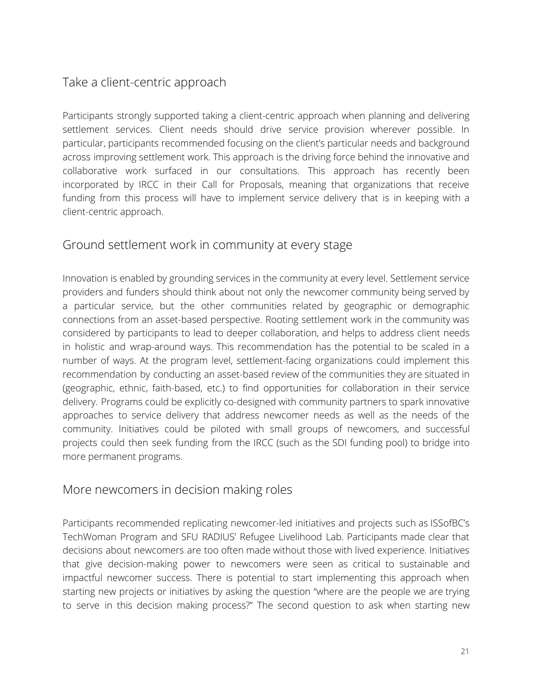#### <span id="page-20-0"></span>Take a client-centric approach

Participants strongly supported taking a client-centric approach when planning and delivering settlement services. Client needs should drive service provision wherever possible. In particular, participants recommended focusing on the client's particular needs and background across improving settlement work. This approach is the driving force behind the innovative and collaborative work surfaced in our consultations. This approach has recently been incorporated by IRCC in their Call for Proposals, meaning that organizations that receive funding from this process will have to implement service delivery that is in keeping with a client-centric approach.

#### <span id="page-20-1"></span>Ground settlement work in community at every stage

Innovation is enabled by grounding services in the community at every level. Settlement service providers and funders should think about not only the newcomer community being served by a particular service, but the other communities related by geographic or demographic connections from an asset-based perspective. Rooting settlement work in the community was considered by participants to lead to deeper collaboration, and helps to address client needs in holistic and wrap-around ways. This recommendation has the potential to be scaled in a number of ways. At the program level, settlement-facing organizations could implement this recommendation by conducting an asset-based review of the communities they are situated in (geographic, ethnic, faith-based, etc.) to find opportunities for collaboration in their service delivery. Programs could be explicitly co-designed with community partners to spark innovative approaches to service delivery that address newcomer needs as well as the needs of the community. Initiatives could be piloted with small groups of newcomers, and successful projects could then seek funding from the IRCC (such as the SDI funding pool) to bridge into more permanent programs.

#### <span id="page-20-2"></span>More newcomers in decision making roles

Participants recommended replicating newcomer-led initiatives and projects such as ISSofBC's TechWoman Program and SFU RADIUS' Refugee Livelihood Lab. Participants made clear that decisions about newcomers are too often made without those with lived experience. Initiatives that give decision-making power to newcomers were seen as critical to sustainable and impactful newcomer success. There is potential to start implementing this approach when starting new projects or initiatives by asking the question "where are the people we are trying to serve in this decision making process?" The second question to ask when starting new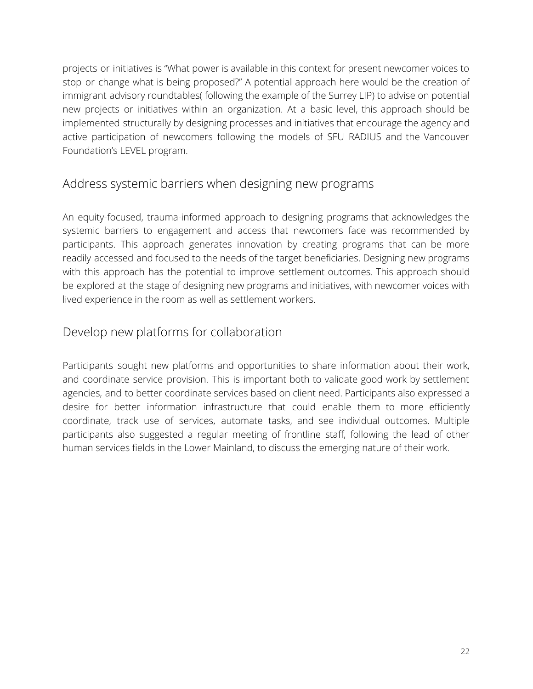projects or initiatives is "What power is available in this context for present newcomer voices to stop or change what is being proposed?" A potential approach here would be the creation of immigrant advisory roundtables( following the example of the Surrey LIP) to advise on potential new projects or initiatives within an organization. At a basic level, this approach should be implemented structurally by designing processes and initiatives that encourage the agency and active participation of newcomers following the models of SFU RADIUS and the Vancouver Foundation's LEVEL program.

#### <span id="page-21-0"></span>Address systemic barriers when designing new programs

An equity-focused, trauma-informed approach to designing programs that acknowledges the systemic barriers to engagement and access that newcomers face was recommended by participants. This approach generates innovation by creating programs that can be more readily accessed and focused to the needs of the target beneficiaries. Designing new programs with this approach has the potential to improve settlement outcomes. This approach should be explored at the stage of designing new programs and initiatives, with newcomer voices with lived experience in the room as well as settlement workers.

#### <span id="page-21-1"></span>Develop new platforms for collaboration

Participants sought new platforms and opportunities to share information about their work, and coordinate service provision. This is important both to validate good work by settlement agencies, and to better coordinate services based on client need. Participants also expressed a desire for better information infrastructure that could enable them to more efficiently coordinate, track use of services, automate tasks, and see individual outcomes. Multiple participants also suggested a regular meeting of frontline staff, following the lead of other human services fields in the Lower Mainland, to discuss the emerging nature of their work.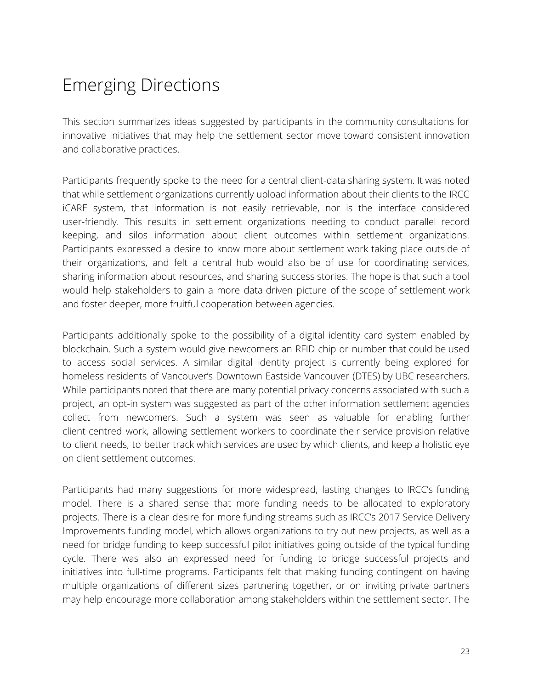## <span id="page-22-0"></span>Emerging Directions

This section summarizes ideas suggested by participants in the community consultations for innovative initiatives that may help the settlement sector move toward consistent innovation and collaborative practices.

Participants frequently spoke to the need for a central client-data sharing system. It was noted that while settlement organizations currently upload information about their clients to the IRCC iCARE system, that information is not easily retrievable, nor is the interface considered user-friendly. This results in settlement organizations needing to conduct parallel record keeping, and silos information about client outcomes within settlement organizations. Participants expressed a desire to know more about settlement work taking place outside of their organizations, and felt a central hub would also be of use for coordinating services, sharing information about resources, and sharing success stories. The hope is that such a tool would help stakeholders to gain a more data-driven picture of the scope of settlement work and foster deeper, more fruitful cooperation between agencies.

Participants additionally spoke to the possibility of a digital identity card system enabled by blockchain. Such a system would give newcomers an RFID chip or number that could be used to access social services. A similar digital identity project is currently being explored for homeless residents of Vancouver's Downtown Eastside Vancouver (DTES) by UBC researchers. While participants noted that there are many potential privacy concerns associated with such a project, an opt-in system was suggested as part of the other information settlement agencies collect from newcomers. Such a system was seen as valuable for enabling further client-centred work, allowing settlement workers to coordinate their service provision relative to client needs, to better track which services are used by which clients, and keep a holistic eye on client settlement outcomes.

Participants had many suggestions for more widespread, lasting changes to IRCC's funding model. There is a shared sense that more funding needs to be allocated to exploratory projects. There is a clear desire for more funding streams such as IRCC's 2017 Service Delivery Improvements funding model, which allows organizations to try out new projects, as well as a need for bridge funding to keep successful pilot initiatives going outside of the typical funding cycle. There was also an expressed need for funding to bridge successful projects and initiatives into full-time programs. Participants felt that making funding contingent on having multiple organizations of different sizes partnering together, or on inviting private partners may help encourage more collaboration among stakeholders within the settlement sector. The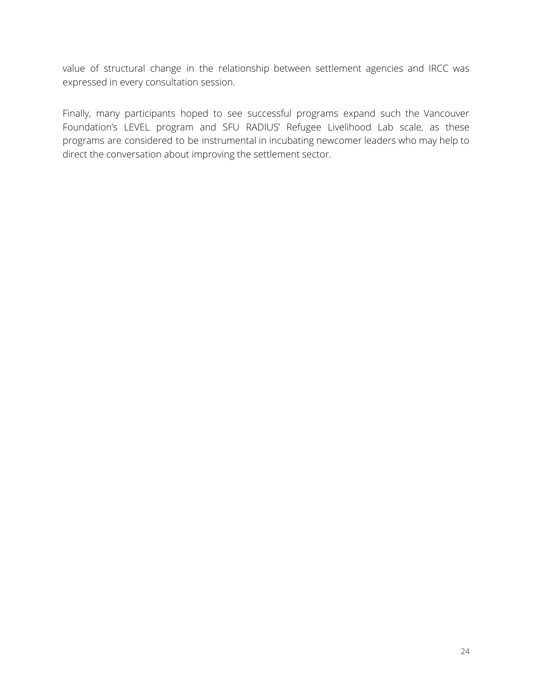value of structural change in the relationship between settlement agencies and IRCC was expressed in every consultation session.

Finally, many participants hoped to see successful programs expand such the Vancouver Foundation's LEVEL program and SFU RADIUS' Refugee Livelihood Lab scale, as these programs are considered to be instrumental in incubating newcomer leaders who may help to direct the conversation about improving the settlement sector.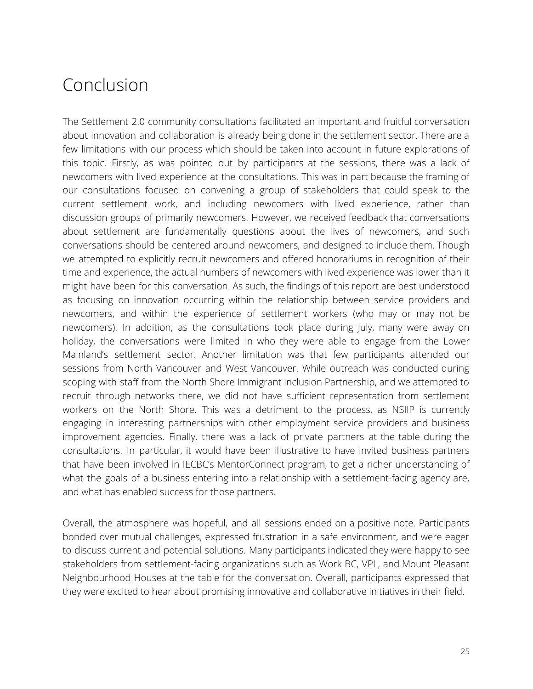### <span id="page-24-0"></span>Conclusion

The Settlement 2.0 community consultations facilitated an important and fruitful conversation about innovation and collaboration is already being done in the settlement sector. There are a few limitations with our process which should be taken into account in future explorations of this topic. Firstly, as was pointed out by participants at the sessions, there was a lack of newcomers with lived experience at the consultations. This was in part because the framing of our consultations focused on convening a group of stakeholders that could speak to the current settlement work, and including newcomers with lived experience, rather than discussion groups of primarily newcomers. However, we received feedback that conversations about settlement are fundamentally questions about the lives of newcomers, and such conversations should be centered around newcomers, and designed to include them. Though we attempted to explicitly recruit newcomers and offered honorariums in recognition of their time and experience, the actual numbers of newcomers with lived experience was lower than it might have been for this conversation. As such, the findings of this report are best understood as focusing on innovation occurring within the relationship between service providers and newcomers, and within the experience of settlement workers (who may or may not be newcomers). In addition, as the consultations took place during July, many were away on holiday, the conversations were limited in who they were able to engage from the Lower Mainland's settlement sector. Another limitation was that few participants attended our sessions from North Vancouver and West Vancouver. While outreach was conducted during scoping with staff from the North Shore Immigrant Inclusion Partnership, and we attempted to recruit through networks there, we did not have sufficient representation from settlement workers on the North Shore. This was a detriment to the process, as NSIIP is currently engaging in interesting partnerships with other employment service providers and business improvement agencies. Finally, there was a lack of private partners at the table during the consultations. In particular, it would have been illustrative to have invited business partners that have been involved in IECBC's MentorConnect program, to get a richer understanding of what the goals of a business entering into a relationship with a settlement-facing agency are, and what has enabled success for those partners.

Overall, the atmosphere was hopeful, and all sessions ended on a positive note. Participants bonded over mutual challenges, expressed frustration in a safe environment, and were eager to discuss current and potential solutions. Many participants indicated they were happy to see stakeholders from settlement-facing organizations such as Work BC, VPL, and Mount Pleasant Neighbourhood Houses at the table for the conversation. Overall, participants expressed that they were excited to hear about promising innovative and collaborative initiatives in their field.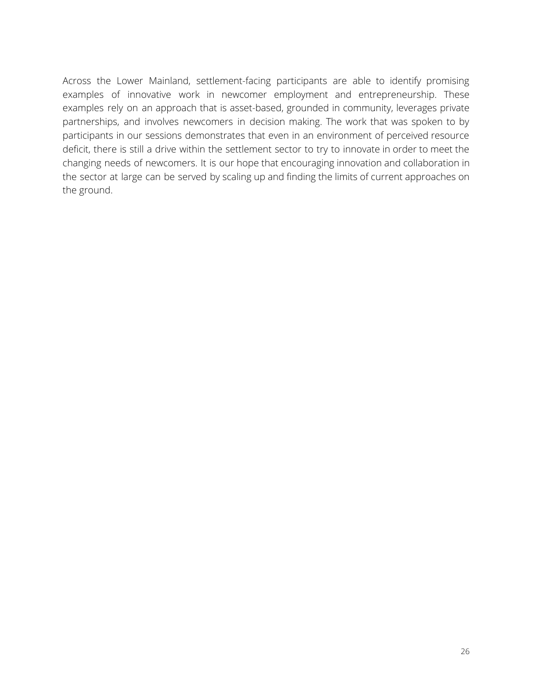Across the Lower Mainland, settlement-facing participants are able to identify promising examples of innovative work in newcomer employment and entrepreneurship. These examples rely on an approach that is asset-based, grounded in community, leverages private partnerships, and involves newcomers in decision making. The work that was spoken to by participants in our sessions demonstrates that even in an environment of perceived resource deficit, there is still a drive within the settlement sector to try to innovate in order to meet the changing needs of newcomers. It is our hope that encouraging innovation and collaboration in the sector at large can be served by scaling up and finding the limits of current approaches on the ground.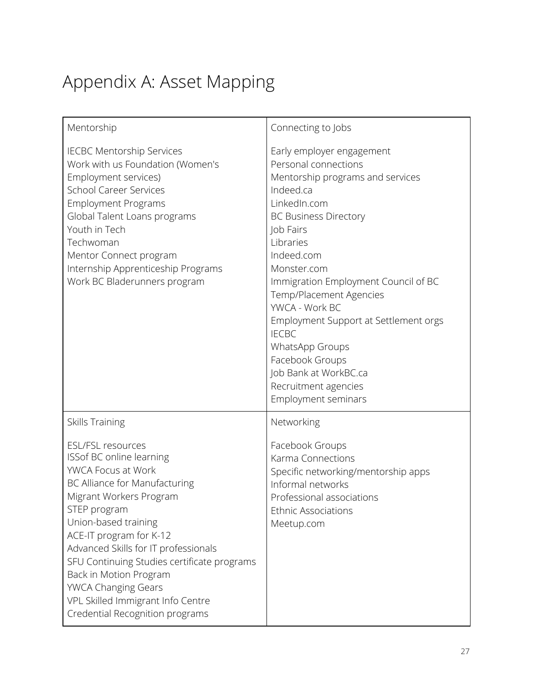# <span id="page-26-0"></span>Appendix A: Asset Mapping

| Mentorship                                                                                                                                                                                                                                                                                                                                                                                                                       | Connecting to Jobs                                                                                                                                                                                                                                                                                                                                                                                                                                                    |
|----------------------------------------------------------------------------------------------------------------------------------------------------------------------------------------------------------------------------------------------------------------------------------------------------------------------------------------------------------------------------------------------------------------------------------|-----------------------------------------------------------------------------------------------------------------------------------------------------------------------------------------------------------------------------------------------------------------------------------------------------------------------------------------------------------------------------------------------------------------------------------------------------------------------|
| <b>IECBC Mentorship Services</b><br>Work with us Foundation (Women's<br>Employment services)<br><b>School Career Services</b><br><b>Employment Programs</b><br>Global Talent Loans programs<br>Youth in Tech<br>Techwoman<br>Mentor Connect program<br>Internship Apprenticeship Programs<br>Work BC Bladerunners program                                                                                                        | Early employer engagement<br>Personal connections<br>Mentorship programs and services<br>Indeed.ca<br>LinkedIn.com<br><b>BC Business Directory</b><br>Job Fairs<br>Libraries<br>Indeed.com<br>Monster.com<br>Immigration Employment Council of BC<br>Temp/Placement Agencies<br>YWCA - Work BC<br>Employment Support at Settlement orgs<br><b>IECBC</b><br>WhatsApp Groups<br>Facebook Groups<br>Job Bank at WorkBC.ca<br>Recruitment agencies<br>Employment seminars |
| Skills Training                                                                                                                                                                                                                                                                                                                                                                                                                  | Networking                                                                                                                                                                                                                                                                                                                                                                                                                                                            |
| <b>ESL/FSL resources</b><br>ISSof BC online learning<br>YWCA Focus at Work<br>BC Alliance for Manufacturing<br>Migrant Workers Program<br>STEP program<br>Union-based training<br>ACE-IT program for K-12<br>Advanced Skills for IT professionals<br>SFU Continuing Studies certificate programs<br>Back in Motion Program<br><b>YWCA Changing Gears</b><br>VPL Skilled Immigrant Info Centre<br>Credential Recognition programs | Facebook Groups<br>Karma Connections<br>Specific networking/mentorship apps<br>Informal networks<br>Professional associations<br><b>Ethnic Associations</b><br>Meetup.com                                                                                                                                                                                                                                                                                             |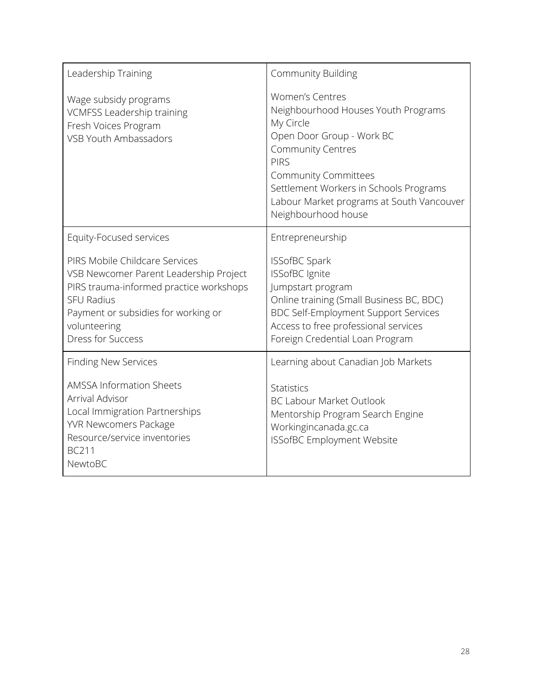| Leadership Training                                                                                                                                                                                                         | <b>Community Building</b>                                                                                                                                                                                                                                                                       |
|-----------------------------------------------------------------------------------------------------------------------------------------------------------------------------------------------------------------------------|-------------------------------------------------------------------------------------------------------------------------------------------------------------------------------------------------------------------------------------------------------------------------------------------------|
| Wage subsidy programs<br><b>VCMFSS Leadership training</b><br>Fresh Voices Program<br>VSB Youth Ambassadors                                                                                                                 | <b>Women's Centres</b><br>Neighbourhood Houses Youth Programs<br>My Circle<br>Open Door Group - Work BC<br><b>Community Centres</b><br><b>PIRS</b><br><b>Community Committees</b><br>Settlement Workers in Schools Programs<br>Labour Market programs at South Vancouver<br>Neighbourhood house |
| Equity-Focused services                                                                                                                                                                                                     | Entrepreneurship                                                                                                                                                                                                                                                                                |
| PIRS Mobile Childcare Services<br>VSB Newcomer Parent Leadership Project<br>PIRS trauma-informed practice workshops<br><b>SFU Radius</b><br>Payment or subsidies for working or<br>volunteering<br><b>Dress for Success</b> | <b>ISSofBC Spark</b><br><b>ISSofBC</b> Ignite<br>Jumpstart program<br>Online training (Small Business BC, BDC)<br><b>BDC Self-Employment Support Services</b><br>Access to free professional services<br>Foreign Credential Loan Program                                                        |
| <b>Finding New Services</b>                                                                                                                                                                                                 | Learning about Canadian Job Markets                                                                                                                                                                                                                                                             |
| <b>AMSSA Information Sheets</b><br>Arrival Advisor<br>Local Immigration Partnerships<br><b>YVR Newcomers Package</b><br>Resource/service inventories<br><b>BC211</b><br>NewtoBC                                             | <b>Statistics</b><br><b>BC Labour Market Outlook</b><br>Mentorship Program Search Engine<br>Workingincanada.gc.ca<br><b>ISSofBC Employment Website</b>                                                                                                                                          |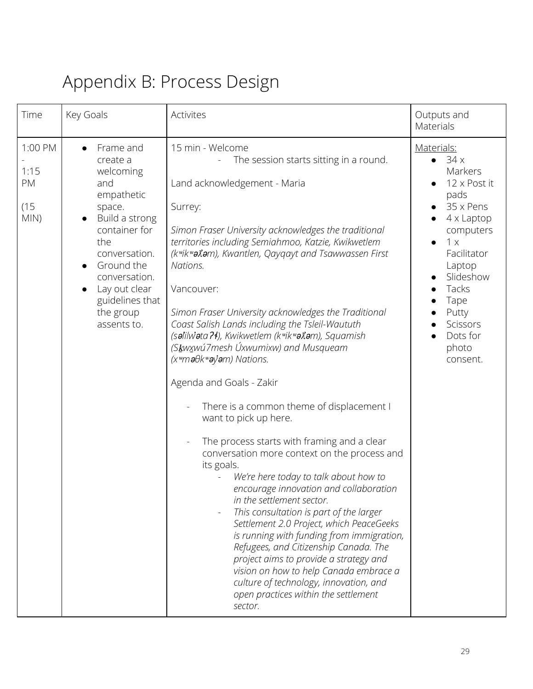# <span id="page-28-0"></span>Appendix B: Process Design

| Time                                  | Key Goals                                                                                                                                                                                                                   | Activites                                                                                                                                                                                                                                                                                                                                                                                                                                                                                                                                                                                                                                                                                                                                                                                                                                                                                                                                                                                                                                                                                                                                                                                                                           | Outputs and<br>Materials                                                                                                                                                                                                             |
|---------------------------------------|-----------------------------------------------------------------------------------------------------------------------------------------------------------------------------------------------------------------------------|-------------------------------------------------------------------------------------------------------------------------------------------------------------------------------------------------------------------------------------------------------------------------------------------------------------------------------------------------------------------------------------------------------------------------------------------------------------------------------------------------------------------------------------------------------------------------------------------------------------------------------------------------------------------------------------------------------------------------------------------------------------------------------------------------------------------------------------------------------------------------------------------------------------------------------------------------------------------------------------------------------------------------------------------------------------------------------------------------------------------------------------------------------------------------------------------------------------------------------------|--------------------------------------------------------------------------------------------------------------------------------------------------------------------------------------------------------------------------------------|
| 1:00 PM<br>1:15<br>PM<br>(15)<br>MIN) | Frame and<br>create a<br>welcoming<br>and<br>empathetic<br>space.<br>Build a strong<br>container for<br>the<br>conversation.<br>Ground the<br>conversation.<br>Lay out clear<br>guidelines that<br>the group<br>assents to. | 15 min - Welcome<br>The session starts sitting in a round.<br>Land acknowledgement - Maria<br>Surrey:<br>Simon Fraser University acknowledges the traditional<br>territories including Semiahmoo, Katzie, Kwikwetlem<br>(kwikwaxam), Kwantlen, Qayqayt and Tsawwassen First<br>Nations.<br>Vancouver:<br>Simon Fraser University acknowledges the Traditional<br>Coast Salish Lands including the Tsleil-Waututh<br>(salilwata ?4), Kwikwetlem (kwikwan), Squamish<br>(Skwxwú7mesh Úxwumixw) and Musqueam<br>$(xwmeθkweyiem)$ Nations.<br>Agenda and Goals - Zakir<br>There is a common theme of displacement I<br>want to pick up here.<br>The process starts with framing and a clear<br>conversation more context on the process and<br>its goals.<br>We're here today to talk about how to<br>encourage innovation and collaboration<br>in the settlement sector.<br>This consultation is part of the larger<br>Settlement 2.0 Project, which PeaceGeeks<br>is running with funding from immigration,<br>Refugees, and Citizenship Canada. The<br>project aims to provide a strategy and<br>vision on how to help Canada embrace a<br>culture of technology, innovation, and<br>open practices within the settlement<br>sector. | Materials:<br>34x<br>Markers<br>12 x Post it<br>pads<br>35 x Pens<br>$4 \times$ Laptop<br>computers<br>1 x<br>$\bullet$<br>Facilitator<br>Laptop<br>Slideshow<br>Tacks<br>Tape<br>Putty<br>Scissors<br>Dots for<br>photo<br>consent. |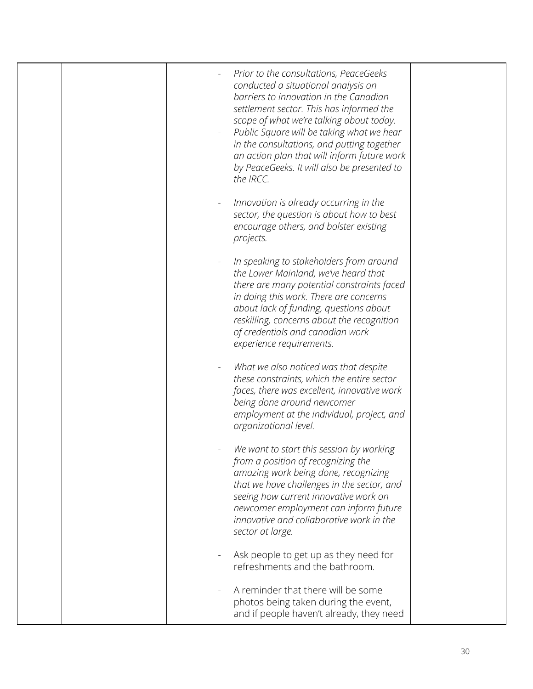| Prior to the consultations, PeaceGeeks<br>conducted a situational analysis on<br>barriers to innovation in the Canadian<br>settlement sector. This has informed the<br>scope of what we're talking about today.<br>Public Square will be taking what we hear<br>in the consultations, and putting together<br>an action plan that will inform future work<br>by PeaceGeeks. It will also be presented to<br>the IRCC. |  |
|-----------------------------------------------------------------------------------------------------------------------------------------------------------------------------------------------------------------------------------------------------------------------------------------------------------------------------------------------------------------------------------------------------------------------|--|
| Innovation is already occurring in the<br>sector, the question is about how to best<br>encourage others, and bolster existing<br>projects.                                                                                                                                                                                                                                                                            |  |
| In speaking to stakeholders from around<br>the Lower Mainland, we've heard that<br>there are many potential constraints faced<br>in doing this work. There are concerns<br>about lack of funding, questions about<br>reskilling, concerns about the recognition<br>of credentials and canadian work<br>experience requirements.                                                                                       |  |
| What we also noticed was that despite<br>these constraints, which the entire sector<br>faces, there was excellent, innovative work<br>being done around newcomer<br>employment at the individual, project, and<br>organizational level.                                                                                                                                                                               |  |
| We want to start this session by working<br>from a position of recognizing the<br>amazing work being done, recognizing<br>that we have challenges in the sector, and<br>seeing how current innovative work on<br>newcomer employment can inform future<br>innovative and collaborative work in the<br>sector at large.                                                                                                |  |
| Ask people to get up as they need for<br>refreshments and the bathroom.                                                                                                                                                                                                                                                                                                                                               |  |
| A reminder that there will be some<br>photos being taken during the event,<br>and if people haven't already, they need                                                                                                                                                                                                                                                                                                |  |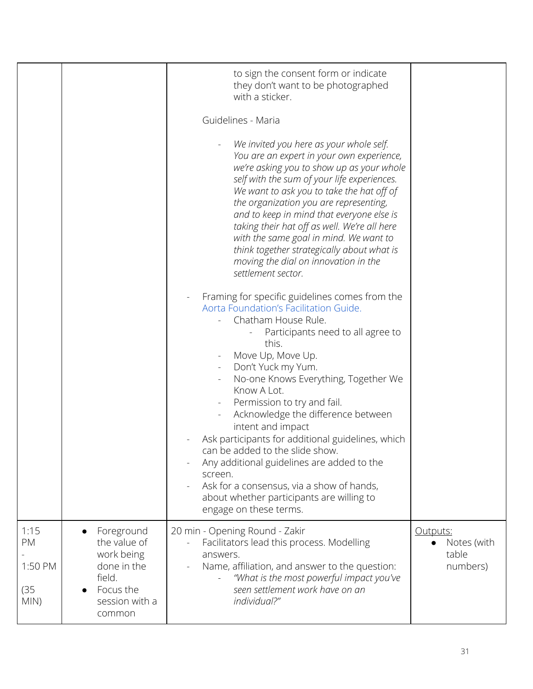|                                       |                                                                                                            | to sign the consent form or indicate<br>they don't want to be photographed<br>with a sticker.<br>Guidelines - Maria<br>We invited you here as your whole self.<br>You are an expert in your own experience,<br>we're asking you to show up as your whole<br>self with the sum of your life experiences.<br>We want to ask you to take the hat off of<br>the organization you are representing,<br>and to keep in mind that everyone else is<br>taking their hat off as well. We're all here<br>with the same goal in mind. We want to<br>think together strategically about what is<br>moving the dial on innovation in the<br>settlement sector. |                                                           |
|---------------------------------------|------------------------------------------------------------------------------------------------------------|---------------------------------------------------------------------------------------------------------------------------------------------------------------------------------------------------------------------------------------------------------------------------------------------------------------------------------------------------------------------------------------------------------------------------------------------------------------------------------------------------------------------------------------------------------------------------------------------------------------------------------------------------|-----------------------------------------------------------|
|                                       |                                                                                                            | Framing for specific guidelines comes from the<br>Aorta Foundation's Facilitation Guide.<br>Chatham House Rule.<br>Participants need to all agree to<br>this.<br>Move Up, Move Up.<br>Don't Yuck my Yum.<br>No-one Knows Everything, Together We<br>Know A Lot.<br>Permission to try and fail.<br>Acknowledge the difference between<br>intent and impact<br>Ask participants for additional guidelines, which<br>can be added to the slide show.<br>Any additional guidelines are added to the<br>screen.<br>Ask for a consensus, via a show of hands,<br>about whether participants are willing to<br>engage on these terms.                    |                                                           |
| 1:15<br>PM<br>1:50 PM<br>(35)<br>MIN) | Foreground<br>the value of<br>work being<br>done in the<br>field.<br>Focus the<br>session with a<br>common | 20 min - Opening Round - Zakir<br>Facilitators lead this process. Modelling<br>answers.<br>Name, affiliation, and answer to the question:<br>"What is the most powerful impact you've<br>seen settlement work have on an<br>individual?"                                                                                                                                                                                                                                                                                                                                                                                                          | Outputs:<br>Notes (with<br>$\bullet$<br>table<br>numbers) |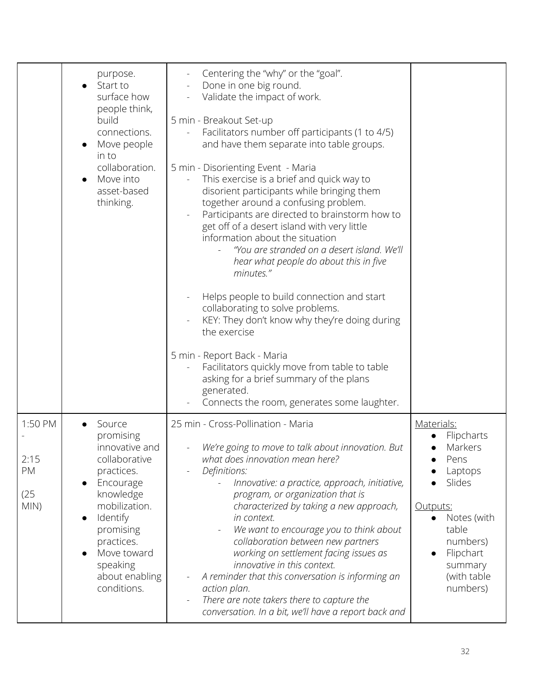|                                       | purpose.<br>Start to<br>surface how<br>people think,<br>build<br>connections.<br>Move people<br>in to<br>collaboration.<br>Move into<br>asset-based<br>thinking.                                                                             | Centering the "why" or the "goal".<br>Done in one big round.<br>Validate the impact of work.<br>5 min - Breakout Set-up<br>Facilitators number off participants (1 to 4/5)<br>and have them separate into table groups.<br>5 min - Disorienting Event - Maria<br>This exercise is a brief and quick way to<br>disorient participants while bringing them<br>together around a confusing problem.<br>Participants are directed to brainstorm how to<br>get off of a desert island with very little<br>information about the situation<br>"You are stranded on a desert island. We'll<br>hear what people do about this in five<br>minutes."<br>Helps people to build connection and start<br>collaborating to solve problems.<br>KEY: They don't know why they're doing during<br>the exercise<br>5 min - Report Back - Maria<br>Facilitators quickly move from table to table<br>asking for a brief summary of the plans<br>generated.<br>Connects the room, generates some laughter. |                                                                                                                                                                                  |
|---------------------------------------|----------------------------------------------------------------------------------------------------------------------------------------------------------------------------------------------------------------------------------------------|---------------------------------------------------------------------------------------------------------------------------------------------------------------------------------------------------------------------------------------------------------------------------------------------------------------------------------------------------------------------------------------------------------------------------------------------------------------------------------------------------------------------------------------------------------------------------------------------------------------------------------------------------------------------------------------------------------------------------------------------------------------------------------------------------------------------------------------------------------------------------------------------------------------------------------------------------------------------------------------|----------------------------------------------------------------------------------------------------------------------------------------------------------------------------------|
| 1:50 PM<br>2:15<br>PM<br>(25)<br>MIN) | Source<br>promising<br>innovative and<br>collaborative<br>practices.<br>Encourage<br>$\bullet$<br>knowledge<br>mobilization.<br>Identify<br>$\bullet$<br>promising<br>practices.<br>Move toward<br>speaking<br>about enabling<br>conditions. | 25 min - Cross-Pollination - Maria<br>We're going to move to talk about innovation. But<br>what does innovation mean here?<br>Definitions:<br>Innovative: a practice, approach, initiative,<br>program, or organization that is<br>characterized by taking a new approach,<br>in context.<br>We want to encourage you to think about<br>collaboration between new partners<br>working on settlement facing issues as<br>innovative in this context.<br>A reminder that this conversation is informing an<br>action plan.<br>There are note takers there to capture the<br>conversation. In a bit, we'll have a report back and                                                                                                                                                                                                                                                                                                                                                        | Materials:<br>Flipcharts<br>Markers<br>Pens<br>Laptops<br>Slides<br>Outputs:<br>Notes (with<br>table<br>numbers)<br>Flipchart<br>$\bullet$<br>summary<br>(with table<br>numbers) |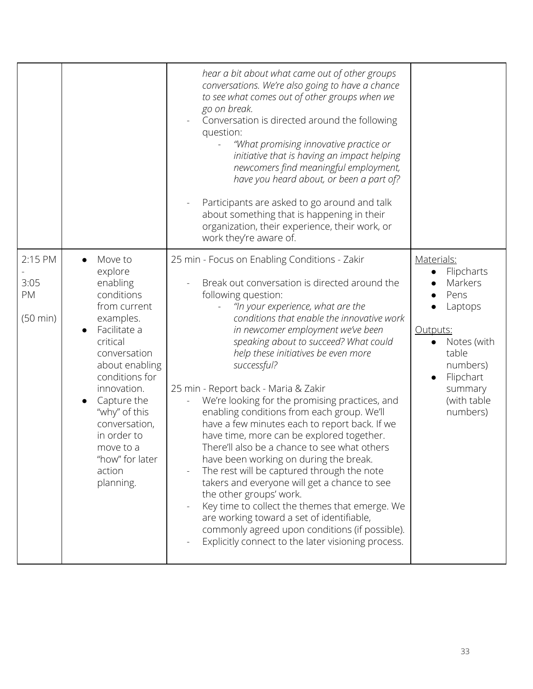|                                             |                                                                                                                                                                                                                                                                                                              | hear a bit about what came out of other groups                                                                                                                                                                                                                                                                                                                                                                                                                                                                                                                                                                                                                                                                                                                                                                                                                                                                                                                                                               |                                                                                                                                                           |
|---------------------------------------------|--------------------------------------------------------------------------------------------------------------------------------------------------------------------------------------------------------------------------------------------------------------------------------------------------------------|--------------------------------------------------------------------------------------------------------------------------------------------------------------------------------------------------------------------------------------------------------------------------------------------------------------------------------------------------------------------------------------------------------------------------------------------------------------------------------------------------------------------------------------------------------------------------------------------------------------------------------------------------------------------------------------------------------------------------------------------------------------------------------------------------------------------------------------------------------------------------------------------------------------------------------------------------------------------------------------------------------------|-----------------------------------------------------------------------------------------------------------------------------------------------------------|
|                                             |                                                                                                                                                                                                                                                                                                              | conversations. We're also going to have a chance<br>to see what comes out of other groups when we<br>go on break.<br>Conversation is directed around the following<br>question:<br>"What promising innovative practice or<br>initiative that is having an impact helping<br>newcomers find meaningful employment,<br>have you heard about, or been a part of?                                                                                                                                                                                                                                                                                                                                                                                                                                                                                                                                                                                                                                                |                                                                                                                                                           |
|                                             |                                                                                                                                                                                                                                                                                                              | Participants are asked to go around and talk<br>about something that is happening in their<br>organization, their experience, their work, or<br>work they're aware of.                                                                                                                                                                                                                                                                                                                                                                                                                                                                                                                                                                                                                                                                                                                                                                                                                                       |                                                                                                                                                           |
| 2:15 PM<br>3:05<br>PM<br>$(50 \text{ min})$ | Move to<br>explore<br>enabling<br>conditions<br>from current<br>examples.<br>Facilitate a<br>$\bullet$<br>critical<br>conversation<br>about enabling<br>conditions for<br>innovation.<br>Capture the<br>"why" of this<br>conversation,<br>in order to<br>move to a<br>"how" for later<br>action<br>planning. | 25 min - Focus on Enabling Conditions - Zakir<br>Break out conversation is directed around the<br>following question:<br>"In your experience, what are the<br>conditions that enable the innovative work<br>in newcomer employment we've been<br>speaking about to succeed? What could<br>help these initiatives be even more<br>successful?<br>25 min - Report back - Maria & Zakir<br>We're looking for the promising practices, and<br>enabling conditions from each group. We'll<br>have a few minutes each to report back. If we<br>have time, more can be explored together.<br>There'll also be a chance to see what others<br>have been working on during the break.<br>The rest will be captured through the note<br>takers and everyone will get a chance to see<br>the other groups' work.<br>Key time to collect the themes that emerge. We<br>are working toward a set of identifiable,<br>commonly agreed upon conditions (if possible).<br>Explicitly connect to the later visioning process. | Materials:<br>Flipcharts<br>Markers<br>Pens<br>Laptops<br>Outputs:<br>Notes (with<br>table<br>numbers)<br>Flipchart<br>summary<br>(with table<br>numbers) |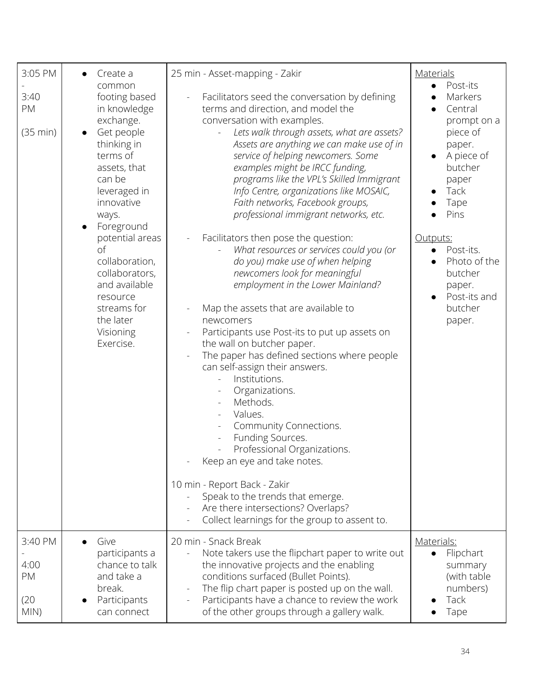| 3:05 PM                               | Create a                                                                                                                                                                                                                                                                                                                     | 25 min - Asset-mapping - Zakir                                                                                                                                                                                                                                                                                                                                                                                                                                                                                                                                                                                                                                                                                                                                                                                                                                                                                                                                                                                                                                                                                                                                                                                   | <b>Materials</b>                                                                                                                                                                                                                              |
|---------------------------------------|------------------------------------------------------------------------------------------------------------------------------------------------------------------------------------------------------------------------------------------------------------------------------------------------------------------------------|------------------------------------------------------------------------------------------------------------------------------------------------------------------------------------------------------------------------------------------------------------------------------------------------------------------------------------------------------------------------------------------------------------------------------------------------------------------------------------------------------------------------------------------------------------------------------------------------------------------------------------------------------------------------------------------------------------------------------------------------------------------------------------------------------------------------------------------------------------------------------------------------------------------------------------------------------------------------------------------------------------------------------------------------------------------------------------------------------------------------------------------------------------------------------------------------------------------|-----------------------------------------------------------------------------------------------------------------------------------------------------------------------------------------------------------------------------------------------|
| 3:40<br>PM<br>(35 min)                | common<br>footing based<br>in knowledge<br>exchange.<br>Get people<br>thinking in<br>terms of<br>assets, that<br>can be<br>leveraged in<br>innovative<br>ways.<br>Foreground<br>potential areas<br>of<br>collaboration,<br>collaborators,<br>and available<br>resource<br>streams for<br>the later<br>Visioning<br>Exercise. | Facilitators seed the conversation by defining<br>terms and direction, and model the<br>conversation with examples.<br>Lets walk through assets, what are assets?<br>Assets are anything we can make use of in<br>service of helping newcomers. Some<br>examples might be IRCC funding,<br>programs like the VPL's Skilled Immigrant<br>Info Centre, organizations like MOSAIC,<br>Faith networks, Facebook groups,<br>professional immigrant networks, etc.<br>Facilitators then pose the question:<br>What resources or services could you (or<br>do you) make use of when helping<br>newcomers look for meaningful<br>employment in the Lower Mainland?<br>Map the assets that are available to<br>newcomers<br>Participants use Post-its to put up assets on<br>the wall on butcher paper.<br>The paper has defined sections where people<br>can self-assign their answers.<br>Institutions.<br>Organizations.<br>Methods.<br>Values.<br>Community Connections.<br>Funding Sources.<br>Professional Organizations.<br>Keep an eye and take notes.<br>10 min - Report Back - Zakir<br>Speak to the trends that emerge.<br>Are there intersections? Overlaps?<br>Collect learnings for the group to assent to. | Post-its<br>$\bullet$<br>Markers<br>Central<br>prompt on a<br>piece of<br>paper.<br>A piece of<br>butcher<br>paper<br>Tack<br>Tape<br>Pins<br>Outputs:<br>Post-its.<br>Photo of the<br>butcher<br>paper.<br>Post-its and<br>butcher<br>paper. |
| 3:40 PM<br>4:00<br>PM<br>(20)<br>MIN) | Give<br>participants a<br>chance to talk<br>and take a<br>break.<br>Participants<br>can connect                                                                                                                                                                                                                              | 20 min - Snack Break<br>Note takers use the flipchart paper to write out<br>the innovative projects and the enabling<br>conditions surfaced (Bullet Points).<br>The flip chart paper is posted up on the wall.<br>Participants have a chance to review the work<br>of the other groups through a gallery walk.                                                                                                                                                                                                                                                                                                                                                                                                                                                                                                                                                                                                                                                                                                                                                                                                                                                                                                   | Materials:<br>Flipchart<br>summary<br>(with table<br>numbers)<br>Tack<br>Tape                                                                                                                                                                 |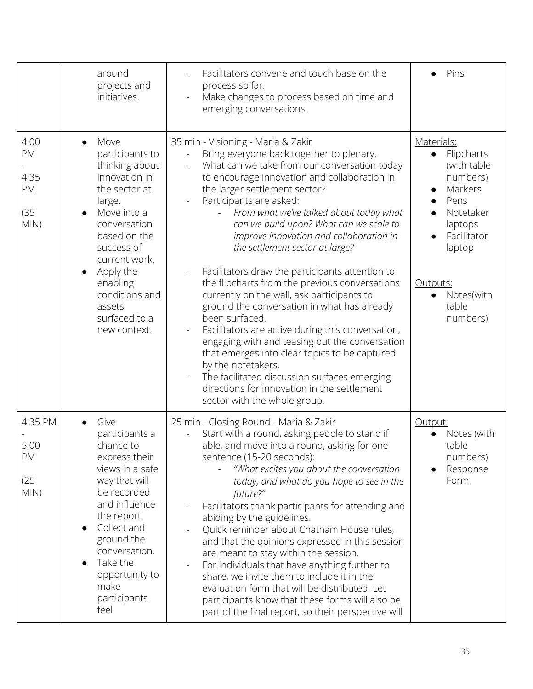|                                          | around<br>projects and<br>initiatives.                                                                                                                                                                                                                                 | Facilitators convene and touch base on the<br>process so far.<br>Make changes to process based on time and<br>emerging conversations.                                                                                                                                                                                                                                                                                                                                                                                                                                                                                                                                                                                                                                                                                                                                                                                                           | Pins                                                                                                                                                                                             |
|------------------------------------------|------------------------------------------------------------------------------------------------------------------------------------------------------------------------------------------------------------------------------------------------------------------------|-------------------------------------------------------------------------------------------------------------------------------------------------------------------------------------------------------------------------------------------------------------------------------------------------------------------------------------------------------------------------------------------------------------------------------------------------------------------------------------------------------------------------------------------------------------------------------------------------------------------------------------------------------------------------------------------------------------------------------------------------------------------------------------------------------------------------------------------------------------------------------------------------------------------------------------------------|--------------------------------------------------------------------------------------------------------------------------------------------------------------------------------------------------|
| 4:00<br>PM<br>4:35<br>PM<br>(35)<br>MIN) | Move<br>participants to<br>thinking about<br>innovation in<br>the sector at<br>large.<br>Move into a<br>conversation<br>based on the<br>success of<br>current work.<br>Apply the<br>$\bullet$<br>enabling<br>conditions and<br>assets<br>surfaced to a<br>new context. | 35 min - Visioning - Maria & Zakir<br>Bring everyone back together to plenary.<br>What can we take from our conversation today<br>to encourage innovation and collaboration in<br>the larger settlement sector?<br>Participants are asked:<br>From what we've talked about today what<br>can we build upon? What can we scale to<br>improve innovation and collaboration in<br>the settlement sector at large?<br>Facilitators draw the participants attention to<br>the flipcharts from the previous conversations<br>currently on the wall, ask participants to<br>ground the conversation in what has already<br>been surfaced.<br>Facilitators are active during this conversation,<br>engaging with and teasing out the conversation<br>that emerges into clear topics to be captured<br>by the notetakers.<br>The facilitated discussion surfaces emerging<br>directions for innovation in the settlement<br>sector with the whole group. | Materials:<br>Flipcharts<br>$\bullet$<br>(with table<br>numbers)<br>Markers<br>$\bullet$<br>Pens<br>Notetaker<br>laptops<br>Facilitator<br>laptop<br>Outputs:<br>Notes(with<br>table<br>numbers) |
| 4:35 PM<br>5:00<br>PM<br>(25)<br>MIN)    | Give<br>participants a<br>chance to<br>express their<br>views in a safe<br>way that will<br>be recorded<br>and influence<br>the report.<br>Collect and<br>ground the<br>conversation.<br>Take the<br>opportunity to<br>make<br>participants<br>feel                    | 25 min - Closing Round - Maria & Zakir<br>Start with a round, asking people to stand if<br>able, and move into a round, asking for one<br>sentence (15-20 seconds):<br>"What excites you about the conversation<br>today, and what do you hope to see in the<br>future?"<br>Facilitators thank participants for attending and<br>abiding by the guidelines.<br>Quick reminder about Chatham House rules,<br>and that the opinions expressed in this session<br>are meant to stay within the session.<br>For individuals that have anything further to<br>share, we invite them to include it in the<br>evaluation form that will be distributed. Let<br>participants know that these forms will also be<br>part of the final report, so their perspective will                                                                                                                                                                                  | Output:<br>Notes (with<br>table<br>numbers)<br>Response<br>Form                                                                                                                                  |